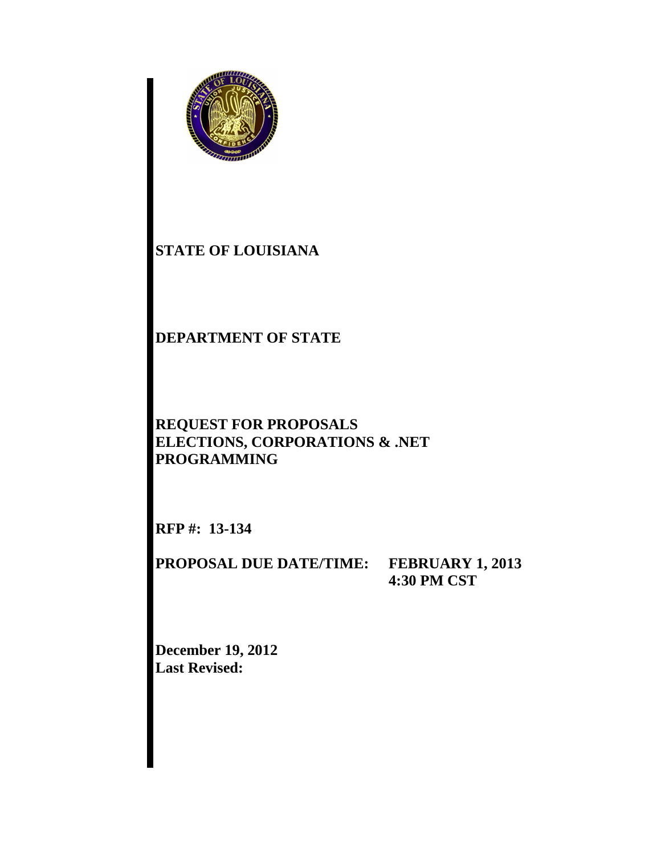

# **STATE OF LOUISIANA**

# **DEPARTMENT OF STATE**

# **REQUEST FOR PROPOSALS ELECTIONS, CORPORATIONS & .NET PROGRAMMING**

**RFP #: 13-134** 

**PROPOSAL DUE DATE/TIME: FEBRUARY 1, 2013** 

**4:30 PM CST** 

**December 19, 2012 Last Revised:**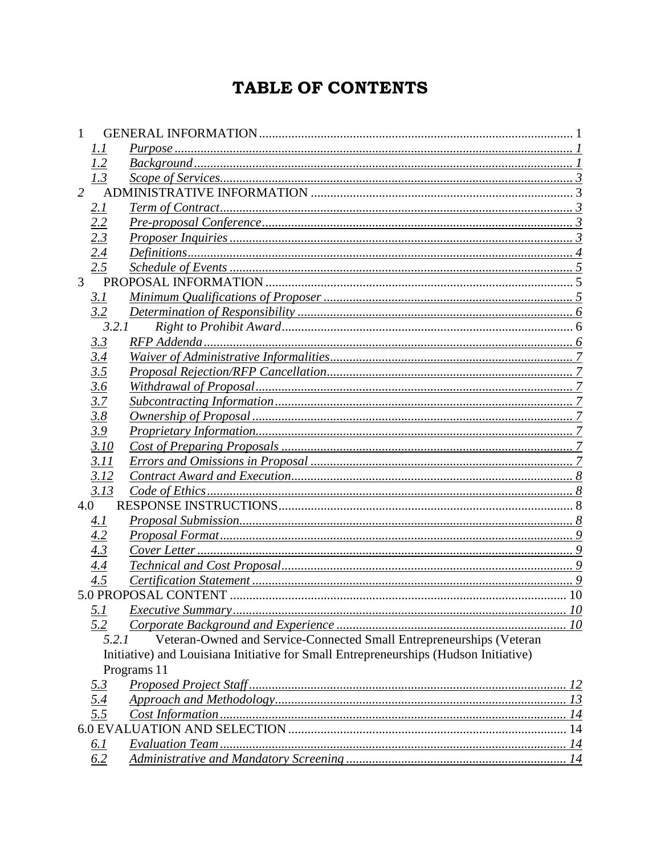# TABLE OF CONTENTS

|                | 1. I              |                                                                                      |  |  |
|----------------|-------------------|--------------------------------------------------------------------------------------|--|--|
|                | 1.2               |                                                                                      |  |  |
|                | 1.3               |                                                                                      |  |  |
| $\overline{2}$ |                   |                                                                                      |  |  |
|                | <u>2.1</u>        |                                                                                      |  |  |
|                | 2.2               |                                                                                      |  |  |
|                | 2.3               |                                                                                      |  |  |
|                | 2.4               |                                                                                      |  |  |
|                | 2.5               |                                                                                      |  |  |
| 3              |                   |                                                                                      |  |  |
|                | 3.1               |                                                                                      |  |  |
|                | 3.2               |                                                                                      |  |  |
|                | 3.2.1             |                                                                                      |  |  |
|                | <u>3.3</u>        |                                                                                      |  |  |
|                | 3.4               |                                                                                      |  |  |
|                | 3.5               |                                                                                      |  |  |
|                | 3.6               |                                                                                      |  |  |
|                | 3.7               |                                                                                      |  |  |
|                | 3.8               |                                                                                      |  |  |
|                | 3.9               |                                                                                      |  |  |
|                | 3.10              |                                                                                      |  |  |
|                | 3.11              |                                                                                      |  |  |
|                | 3.12              |                                                                                      |  |  |
|                | 3.13              |                                                                                      |  |  |
| 4.0            |                   |                                                                                      |  |  |
|                | 4.1               |                                                                                      |  |  |
|                | 4.2               |                                                                                      |  |  |
|                | 4.3               |                                                                                      |  |  |
|                | 4.4               |                                                                                      |  |  |
|                | 4.5               |                                                                                      |  |  |
|                |                   |                                                                                      |  |  |
|                | 5.1               |                                                                                      |  |  |
|                | 5.2               |                                                                                      |  |  |
|                | 5.2.1             | Veteran-Owned and Service-Connected Small Entrepreneurships (Veteran                 |  |  |
|                |                   | Initiative) and Louisiana Initiative for Small Entrepreneurships (Hudson Initiative) |  |  |
|                |                   | Programs 11                                                                          |  |  |
|                | <u>5.3</u>        |                                                                                      |  |  |
|                | $\frac{5.4}{5.5}$ |                                                                                      |  |  |
|                |                   |                                                                                      |  |  |
|                |                   |                                                                                      |  |  |
|                | <u>6.1</u>        |                                                                                      |  |  |
|                | 6.2               |                                                                                      |  |  |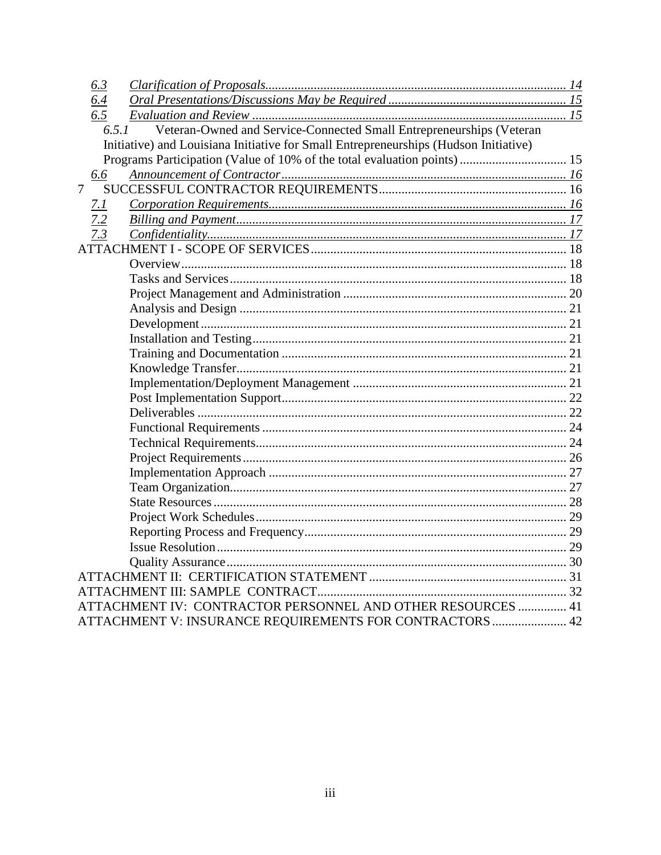| 6.3                                                                                  |  |
|--------------------------------------------------------------------------------------|--|
| 6.4                                                                                  |  |
| 6.5                                                                                  |  |
| Veteran-Owned and Service-Connected Small Entrepreneurships (Veteran<br>6.5.1        |  |
| Initiative) and Louisiana Initiative for Small Entrepreneurships (Hudson Initiative) |  |
|                                                                                      |  |
| 6.6                                                                                  |  |
| $\overline{7}$                                                                       |  |
| 7.1                                                                                  |  |
| 7.2                                                                                  |  |
| 7.3                                                                                  |  |
|                                                                                      |  |
|                                                                                      |  |
|                                                                                      |  |
|                                                                                      |  |
|                                                                                      |  |
|                                                                                      |  |
|                                                                                      |  |
|                                                                                      |  |
|                                                                                      |  |
|                                                                                      |  |
|                                                                                      |  |
|                                                                                      |  |
|                                                                                      |  |
|                                                                                      |  |
|                                                                                      |  |
|                                                                                      |  |
|                                                                                      |  |
|                                                                                      |  |
|                                                                                      |  |
|                                                                                      |  |
|                                                                                      |  |
|                                                                                      |  |
|                                                                                      |  |
|                                                                                      |  |
| ATTACHMENT IV: CONTRACTOR PERSONNEL AND OTHER RESOURCES  41                          |  |
| ATTACHMENT V: INSURANCE REQUIREMENTS FOR CONTRACTORS  42                             |  |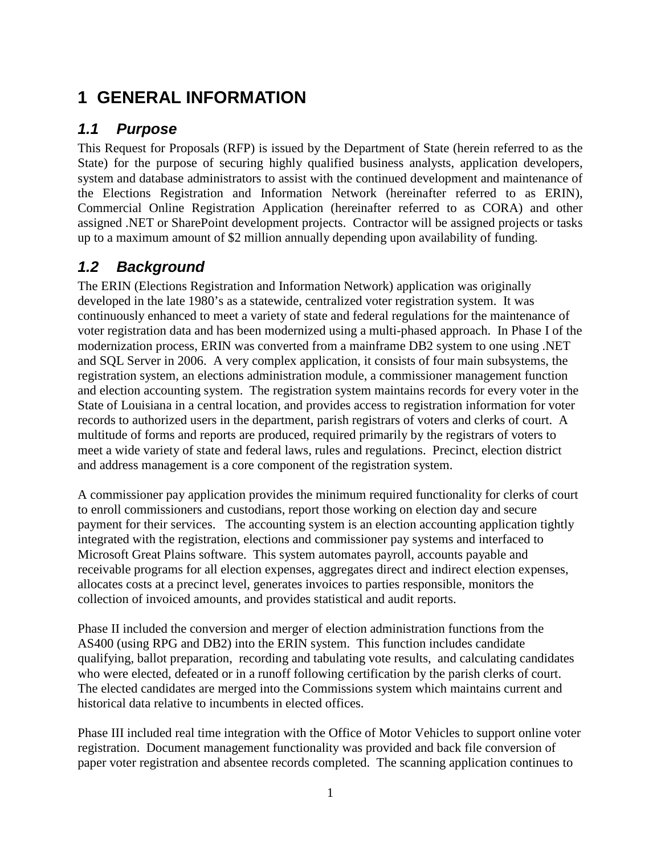# **1 GENERAL INFORMATION**

# **1.1 Purpose**

This Request for Proposals (RFP) is issued by the Department of State (herein referred to as the State) for the purpose of securing highly qualified business analysts, application developers, system and database administrators to assist with the continued development and maintenance of the Elections Registration and Information Network (hereinafter referred to as ERIN), Commercial Online Registration Application (hereinafter referred to as CORA) and other assigned .NET or SharePoint development projects. Contractor will be assigned projects or tasks up to a maximum amount of \$2 million annually depending upon availability of funding.

# **1.2 Background**

The ERIN (Elections Registration and Information Network) application was originally developed in the late 1980's as a statewide, centralized voter registration system. It was continuously enhanced to meet a variety of state and federal regulations for the maintenance of voter registration data and has been modernized using a multi-phased approach. In Phase I of the modernization process, ERIN was converted from a mainframe DB2 system to one using .NET and SQL Server in 2006. A very complex application, it consists of four main subsystems, the registration system, an elections administration module, a commissioner management function and election accounting system. The registration system maintains records for every voter in the State of Louisiana in a central location, and provides access to registration information for voter records to authorized users in the department, parish registrars of voters and clerks of court. A multitude of forms and reports are produced, required primarily by the registrars of voters to meet a wide variety of state and federal laws, rules and regulations. Precinct, election district and address management is a core component of the registration system.

A commissioner pay application provides the minimum required functionality for clerks of court to enroll commissioners and custodians, report those working on election day and secure payment for their services. The accounting system is an election accounting application tightly integrated with the registration, elections and commissioner pay systems and interfaced to Microsoft Great Plains software. This system automates payroll, accounts payable and receivable programs for all election expenses, aggregates direct and indirect election expenses, allocates costs at a precinct level, generates invoices to parties responsible, monitors the collection of invoiced amounts, and provides statistical and audit reports.

Phase II included the conversion and merger of election administration functions from the AS400 (using RPG and DB2) into the ERIN system. This function includes candidate qualifying, ballot preparation, recording and tabulating vote results, and calculating candidates who were elected, defeated or in a runoff following certification by the parish clerks of court. The elected candidates are merged into the Commissions system which maintains current and historical data relative to incumbents in elected offices.

Phase III included real time integration with the Office of Motor Vehicles to support online voter registration. Document management functionality was provided and back file conversion of paper voter registration and absentee records completed. The scanning application continues to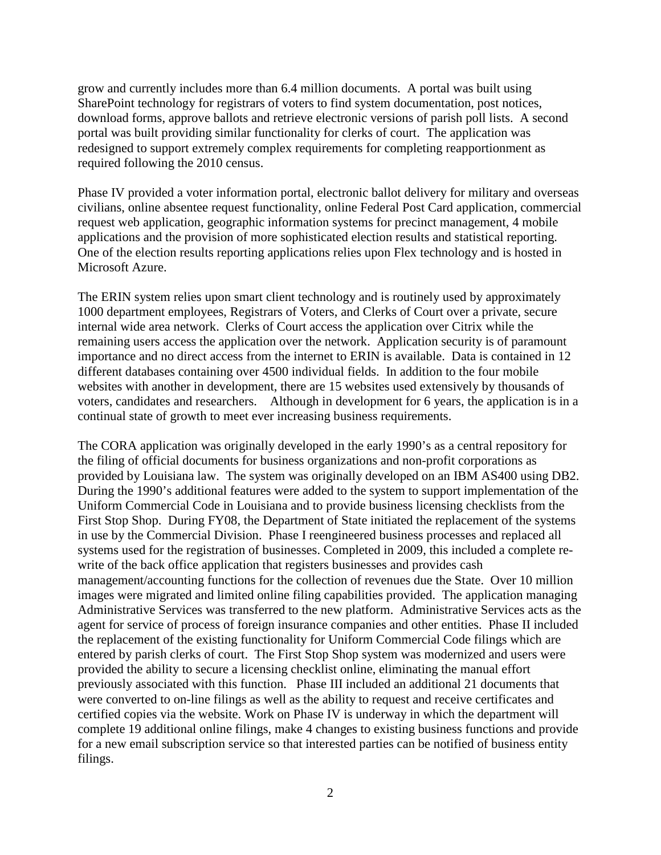grow and currently includes more than 6.4 million documents. A portal was built using SharePoint technology for registrars of voters to find system documentation, post notices, download forms, approve ballots and retrieve electronic versions of parish poll lists. A second portal was built providing similar functionality for clerks of court. The application was redesigned to support extremely complex requirements for completing reapportionment as required following the 2010 census.

Phase IV provided a voter information portal, electronic ballot delivery for military and overseas civilians, online absentee request functionality, online Federal Post Card application, commercial request web application, geographic information systems for precinct management, 4 mobile applications and the provision of more sophisticated election results and statistical reporting. One of the election results reporting applications relies upon Flex technology and is hosted in Microsoft Azure.

The ERIN system relies upon smart client technology and is routinely used by approximately 1000 department employees, Registrars of Voters, and Clerks of Court over a private, secure internal wide area network. Clerks of Court access the application over Citrix while the remaining users access the application over the network. Application security is of paramount importance and no direct access from the internet to ERIN is available. Data is contained in 12 different databases containing over 4500 individual fields. In addition to the four mobile websites with another in development, there are 15 websites used extensively by thousands of voters, candidates and researchers. Although in development for 6 years, the application is in a continual state of growth to meet ever increasing business requirements.

The CORA application was originally developed in the early 1990's as a central repository for the filing of official documents for business organizations and non-profit corporations as provided by Louisiana law. The system was originally developed on an IBM AS400 using DB2. During the 1990's additional features were added to the system to support implementation of the Uniform Commercial Code in Louisiana and to provide business licensing checklists from the First Stop Shop. During FY08, the Department of State initiated the replacement of the systems in use by the Commercial Division. Phase I reengineered business processes and replaced all systems used for the registration of businesses. Completed in 2009, this included a complete rewrite of the back office application that registers businesses and provides cash management/accounting functions for the collection of revenues due the State. Over 10 million images were migrated and limited online filing capabilities provided. The application managing Administrative Services was transferred to the new platform. Administrative Services acts as the agent for service of process of foreign insurance companies and other entities. Phase II included the replacement of the existing functionality for Uniform Commercial Code filings which are entered by parish clerks of court. The First Stop Shop system was modernized and users were provided the ability to secure a licensing checklist online, eliminating the manual effort previously associated with this function. Phase III included an additional 21 documents that were converted to on-line filings as well as the ability to request and receive certificates and certified copies via the website. Work on Phase IV is underway in which the department will complete 19 additional online filings, make 4 changes to existing business functions and provide for a new email subscription service so that interested parties can be notified of business entity filings.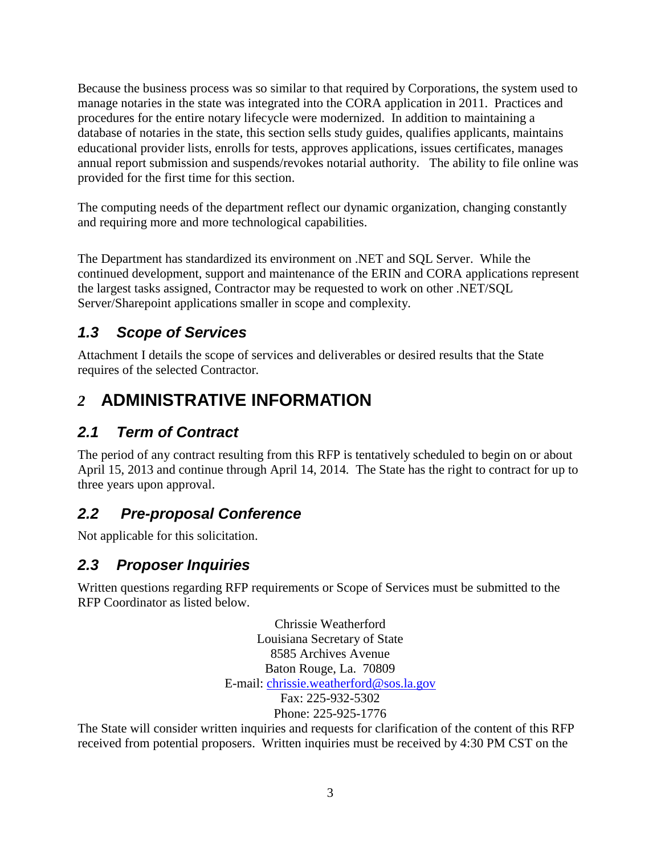Because the business process was so similar to that required by Corporations, the system used to manage notaries in the state was integrated into the CORA application in 2011. Practices and procedures for the entire notary lifecycle were modernized. In addition to maintaining a database of notaries in the state, this section sells study guides, qualifies applicants, maintains educational provider lists, enrolls for tests, approves applications, issues certificates, manages annual report submission and suspends/revokes notarial authority. The ability to file online was provided for the first time for this section.

The computing needs of the department reflect our dynamic organization, changing constantly and requiring more and more technological capabilities.

The Department has standardized its environment on .NET and SQL Server. While the continued development, support and maintenance of the ERIN and CORA applications represent the largest tasks assigned, Contractor may be requested to work on other .NET/SQL Server/Sharepoint applications smaller in scope and complexity.

# **1.3 Scope of Services**

Attachment I details the scope of services and deliverables or desired results that the State requires of the selected Contractor*.* 

# *2* **ADMINISTRATIVE INFORMATION**

# **2.1 Term of Contract**

The period of any contract resulting from this RFP is tentatively scheduled to begin on or about April 15, 2013 and continue through April 14, 2014*.* The State has the right to contract for up to three years upon approval.

# **2.2 Pre-proposal Conference**

Not applicable for this solicitation.

# **2.3 Proposer Inquiries**

Written questions regarding RFP requirements or Scope of Services must be submitted to the RFP Coordinator as listed below.

> Chrissie Weatherford Louisiana Secretary of State 8585 Archives Avenue Baton Rouge, La. 70809 E-mail: chrissie.weatherford@sos.la.gov Fax: 225-932-5302 Phone: 225-925-1776

The State will consider written inquiries and requests for clarification of the content of this RFP received from potential proposers. Written inquiries must be received by 4:30 PM CST on the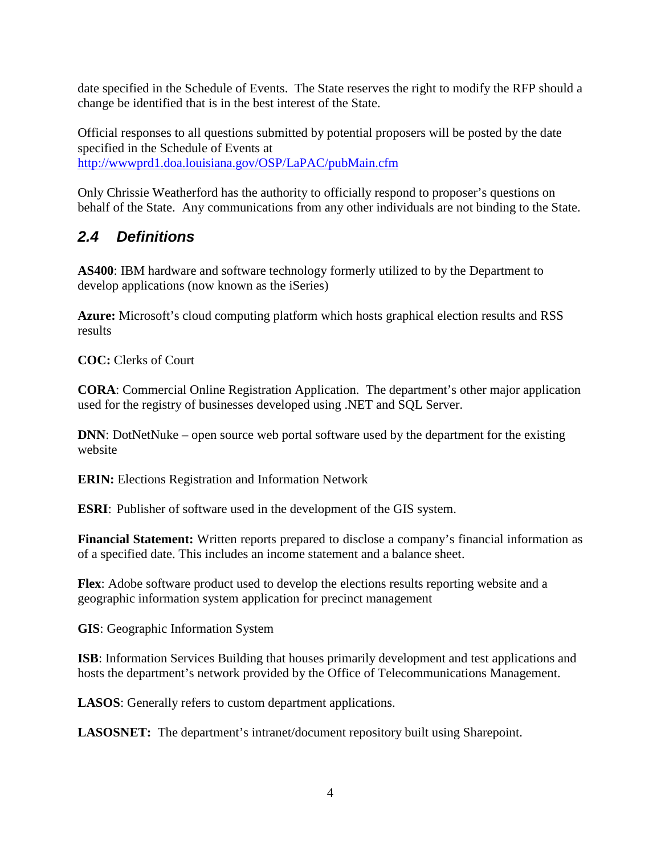date specified in the Schedule of Events. The State reserves the right to modify the RFP should a change be identified that is in the best interest of the State.

Official responses to all questions submitted by potential proposers will be posted by the date specified in the Schedule of Events at http://wwwprd1.doa.louisiana.gov/OSP/LaPAC/pubMain.cfm

Only Chrissie Weatherford has the authority to officially respond to proposer's questions on behalf of the State. Any communications from any other individuals are not binding to the State.

# **2.4 Definitions**

**AS400**: IBM hardware and software technology formerly utilized to by the Department to develop applications (now known as the iSeries)

**Azure:** Microsoft's cloud computing platform which hosts graphical election results and RSS results

**COC:** Clerks of Court

**CORA**: Commercial Online Registration Application. The department's other major application used for the registry of businesses developed using .NET and SQL Server.

**DNN**: DotNetNuke – open source web portal software used by the department for the existing website

**ERIN:** Elections Registration and Information Network

**ESRI**: Publisher of software used in the development of the GIS system.

**Financial Statement:** Written reports prepared to disclose a company's financial information as of a specified date. This includes an income statement and a balance sheet.

**Flex**: Adobe software product used to develop the elections results reporting website and a geographic information system application for precinct management

**GIS**: Geographic Information System

**ISB**: Information Services Building that houses primarily development and test applications and hosts the department's network provided by the Office of Telecommunications Management.

**LASOS**: Generally refers to custom department applications.

**LASOSNET:** The department's intranet/document repository built using Sharepoint.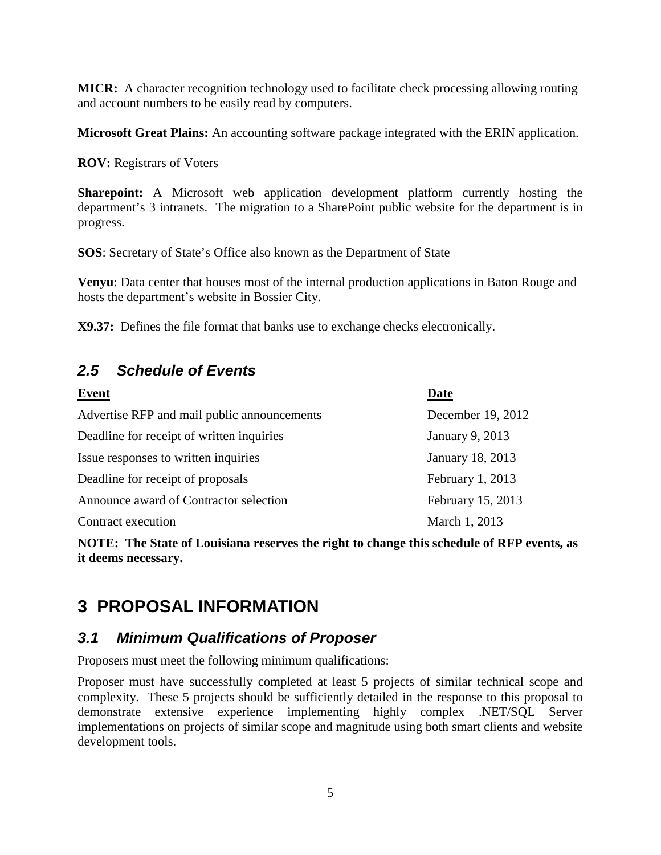**MICR:** A character recognition technology used to facilitate check processing allowing routing and account numbers to be easily read by computers.

**Microsoft Great Plains:** An accounting software package integrated with the ERIN application.

**ROV:** Registrars of Voters

**Sharepoint:** A Microsoft web application development platform currently hosting the department's 3 intranets. The migration to a SharePoint public website for the department is in progress.

**SOS**: Secretary of State's Office also known as the Department of State

**Venyu**: Data center that houses most of the internal production applications in Baton Rouge and hosts the department's website in Bossier City.

**X9.37:** Defines the file format that banks use to exchange checks electronically.

# **2.5 Schedule of Events**

| Event                                       | <b>Date</b>       |
|---------------------------------------------|-------------------|
| Advertise RFP and mail public announcements | December 19, 2012 |
| Deadline for receipt of written inquiries   | January 9, 2013   |
| Issue responses to written inquiries        | January 18, 2013  |
| Deadline for receipt of proposals           | February 1, 2013  |
| Announce award of Contractor selection      | February 15, 2013 |
| Contract execution                          | March 1, 2013     |

**NOTE: The State of Louisiana reserves the right to change this schedule of RFP events, as it deems necessary.** 

# **3 PROPOSAL INFORMATION**

# **3.1 Minimum Qualifications of Proposer**

Proposers must meet the following minimum qualifications:

Proposer must have successfully completed at least 5 projects of similar technical scope and complexity. These 5 projects should be sufficiently detailed in the response to this proposal to demonstrate extensive experience implementing highly complex .NET/SQL Server implementations on projects of similar scope and magnitude using both smart clients and website development tools.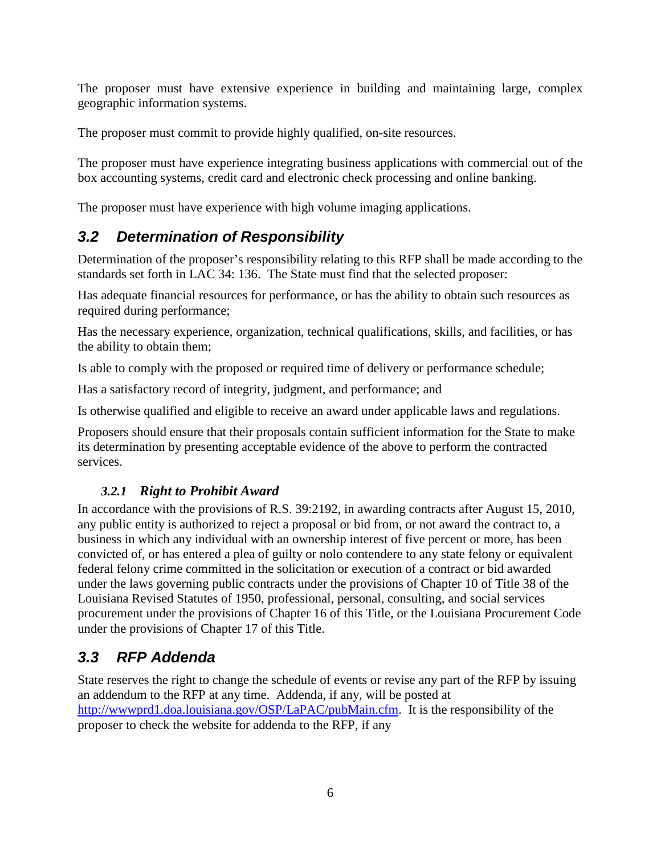The proposer must have extensive experience in building and maintaining large, complex geographic information systems.

The proposer must commit to provide highly qualified, on-site resources.

The proposer must have experience integrating business applications with commercial out of the box accounting systems, credit card and electronic check processing and online banking.

The proposer must have experience with high volume imaging applications.

# **3.2 Determination of Responsibility**

Determination of the proposer's responsibility relating to this RFP shall be made according to the standards set forth in LAC 34: 136. The State must find that the selected proposer:

Has adequate financial resources for performance, or has the ability to obtain such resources as required during performance;

Has the necessary experience, organization, technical qualifications, skills, and facilities, or has the ability to obtain them;

Is able to comply with the proposed or required time of delivery or performance schedule;

Has a satisfactory record of integrity, judgment, and performance; and

Is otherwise qualified and eligible to receive an award under applicable laws and regulations.

Proposers should ensure that their proposals contain sufficient information for the State to make its determination by presenting acceptable evidence of the above to perform the contracted services.

# *3.2.1 Right to Prohibit Award*

In accordance with the provisions of R.S. 39:2192, in awarding contracts after August 15, 2010, any public entity is authorized to reject a proposal or bid from, or not award the contract to, a business in which any individual with an ownership interest of five percent or more, has been convicted of, or has entered a plea of guilty or nolo contendere to any state felony or equivalent federal felony crime committed in the solicitation or execution of a contract or bid awarded under the laws governing public contracts under the provisions of Chapter 10 of Title 38 of the Louisiana Revised Statutes of 1950, professional, personal, consulting, and social services procurement under the provisions of Chapter 16 of this Title, or the Louisiana Procurement Code under the provisions of Chapter 17 of this Title.

# **3.3 RFP Addenda**

State reserves the right to change the schedule of events or revise any part of the RFP by issuing an addendum to the RFP at any time. Addenda, if any, will be posted at http://wwwprd1.doa.louisiana.gov/OSP/LaPAC/pubMain.cfm. It is the responsibility of the proposer to check the website for addenda to the RFP, if any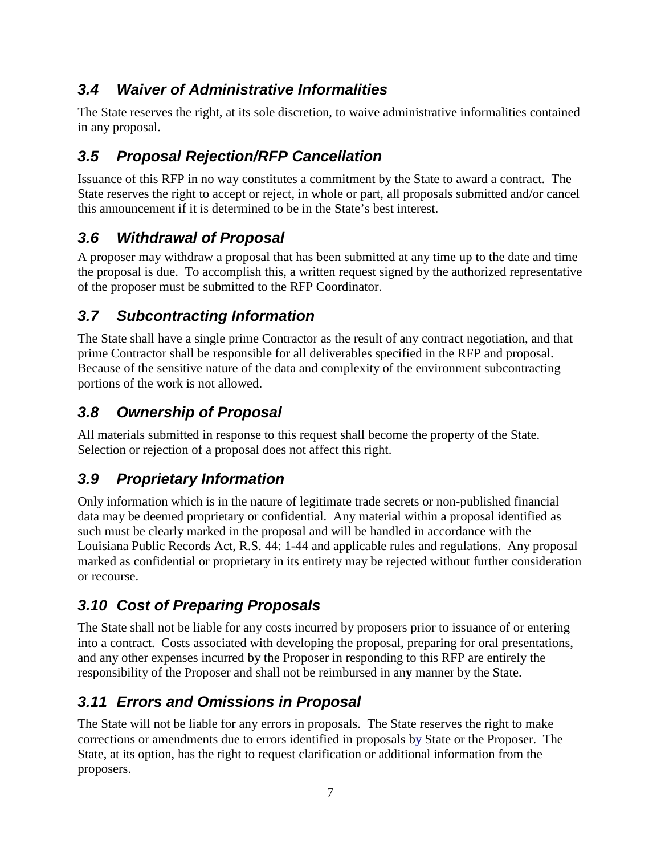# **3.4 Waiver of Administrative Informalities**

The State reserves the right, at its sole discretion, to waive administrative informalities contained in any proposal.

# **3.5 Proposal Rejection/RFP Cancellation**

Issuance of this RFP in no way constitutes a commitment by the State to award a contract. The State reserves the right to accept or reject, in whole or part, all proposals submitted and/or cancel this announcement if it is determined to be in the State's best interest.

# **3.6 Withdrawal of Proposal**

A proposer may withdraw a proposal that has been submitted at any time up to the date and time the proposal is due. To accomplish this, a written request signed by the authorized representative of the proposer must be submitted to the RFP Coordinator.

# **3.7 Subcontracting Information**

The State shall have a single prime Contractor as the result of any contract negotiation, and that prime Contractor shall be responsible for all deliverables specified in the RFP and proposal. Because of the sensitive nature of the data and complexity of the environment subcontracting portions of the work is not allowed.

# **3.8 Ownership of Proposal**

All materials submitted in response to this request shall become the property of the State. Selection or rejection of a proposal does not affect this right.

# **3.9 Proprietary Information**

Only information which is in the nature of legitimate trade secrets or non-published financial data may be deemed proprietary or confidential. Any material within a proposal identified as such must be clearly marked in the proposal and will be handled in accordance with the Louisiana Public Records Act, R.S. 44: 1-44 and applicable rules and regulations. Any proposal marked as confidential or proprietary in its entirety may be rejected without further consideration or recourse.

# **3.10 Cost of Preparing Proposals**

The State shall not be liable for any costs incurred by proposers prior to issuance of or entering into a contract. Costs associated with developing the proposal, preparing for oral presentations, and any other expenses incurred by the Proposer in responding to this RFP are entirely the responsibility of the Proposer and shall not be reimbursed in an**y** manner by the State.

# **3.11 Errors and Omissions in Proposal**

The State will not be liable for any errors in proposals. The State reserves the right to make corrections or amendments due to errors identified in proposals by State or the Proposer. The State, at its option, has the right to request clarification or additional information from the proposers.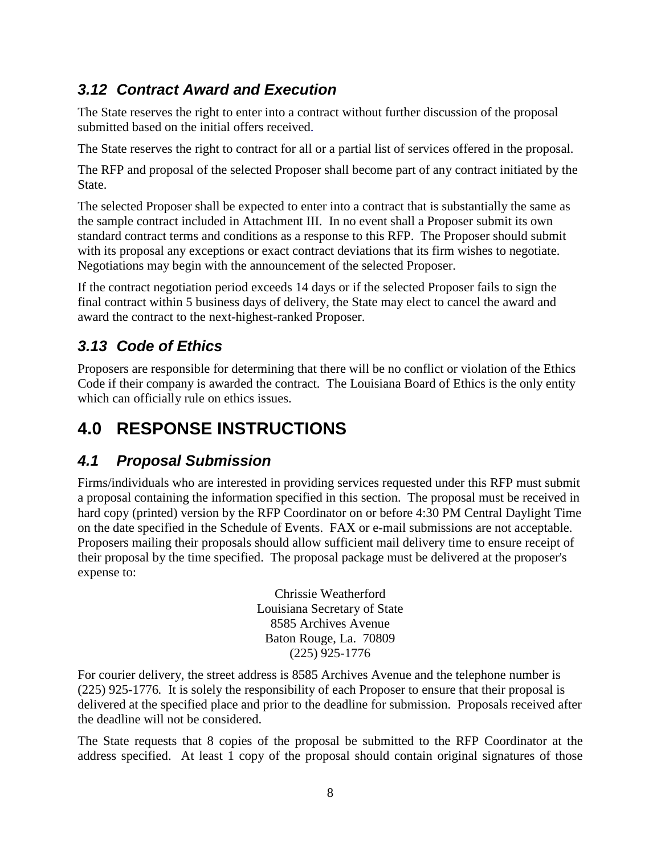# **3.12 Contract Award and Execution**

The State reserves the right to enter into a contract without further discussion of the proposal submitted based on the initial offers received.

The State reserves the right to contract for all or a partial list of services offered in the proposal.

The RFP and proposal of the selected Proposer shall become part of any contract initiated by the State.

The selected Proposer shall be expected to enter into a contract that is substantially the same as the sample contract included in Attachment III. In no event shall a Proposer submit its own standard contract terms and conditions as a response to this RFP. The Proposer should submit with its proposal any exceptions or exact contract deviations that its firm wishes to negotiate. Negotiations may begin with the announcement of the selected Proposer.

If the contract negotiation period exceeds 14 days or if the selected Proposer fails to sign the final contract within 5 business days of delivery, the State may elect to cancel the award and award the contract to the next-highest-ranked Proposer.

# **3.13 Code of Ethics**

Proposers are responsible for determining that there will be no conflict or violation of the Ethics Code if their company is awarded the contract. The Louisiana Board of Ethics is the only entity which can officially rule on ethics issues.

# **4.0 RESPONSE INSTRUCTIONS**

# **4.1 Proposal Submission**

Firms/individuals who are interested in providing services requested under this RFP must submit a proposal containing the information specified in this section. The proposal must be received in hard copy (printed) version by the RFP Coordinator on or before 4:30 PM Central Daylight Time on the date specified in the Schedule of Events. FAX or e-mail submissions are not acceptable. Proposers mailing their proposals should allow sufficient mail delivery time to ensure receipt of their proposal by the time specified. The proposal package must be delivered at the proposer's expense to:

> Chrissie Weatherford Louisiana Secretary of State 8585 Archives Avenue Baton Rouge, La. 70809 (225) 925-1776

For courier delivery, the street address is 8585 Archives Avenue and the telephone number is (225) 925-1776*.* It is solely the responsibility of each Proposer to ensure that their proposal is delivered at the specified place and prior to the deadline for submission. Proposals received after the deadline will not be considered.

The State requests that 8 copies of the proposal be submitted to the RFP Coordinator at the address specified. At least 1 copy of the proposal should contain original signatures of those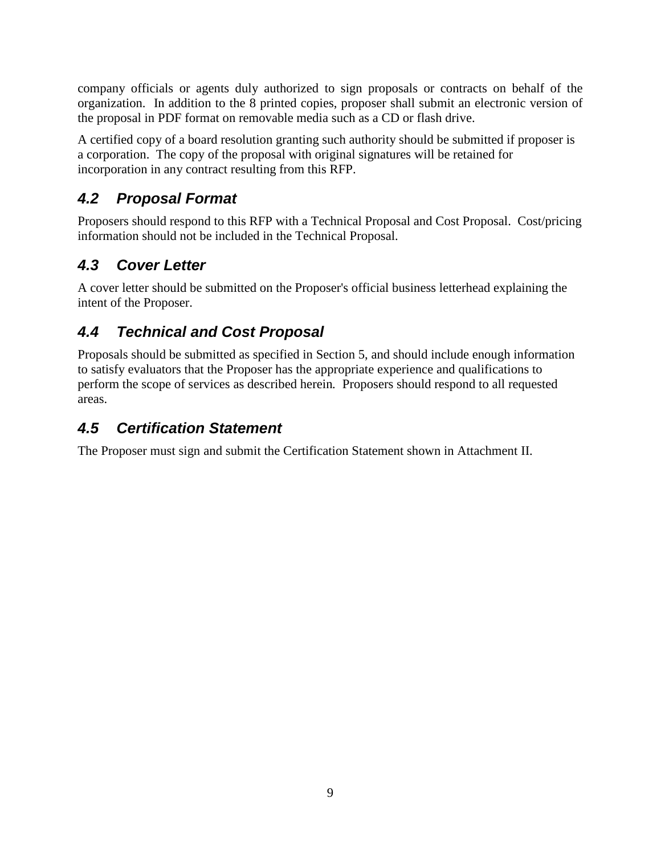company officials or agents duly authorized to sign proposals or contracts on behalf of the organization. In addition to the 8 printed copies, proposer shall submit an electronic version of the proposal in PDF format on removable media such as a CD or flash drive.

A certified copy of a board resolution granting such authority should be submitted if proposer is a corporation. The copy of the proposal with original signatures will be retained for incorporation in any contract resulting from this RFP.

# **4.2 Proposal Format**

Proposers should respond to this RFP with a Technical Proposal and Cost Proposal. Cost/pricing information should not be included in the Technical Proposal.

# **4.3 Cover Letter**

A cover letter should be submitted on the Proposer's official business letterhead explaining the intent of the Proposer.

# **4.4 Technical and Cost Proposal**

Proposals should be submitted as specified in Section 5, and should include enough information to satisfy evaluators that the Proposer has the appropriate experience and qualifications to perform the scope of services as described herein*.* Proposers should respond to all requested areas.

# **4.5 Certification Statement**

The Proposer must sign and submit the Certification Statement shown in Attachment II.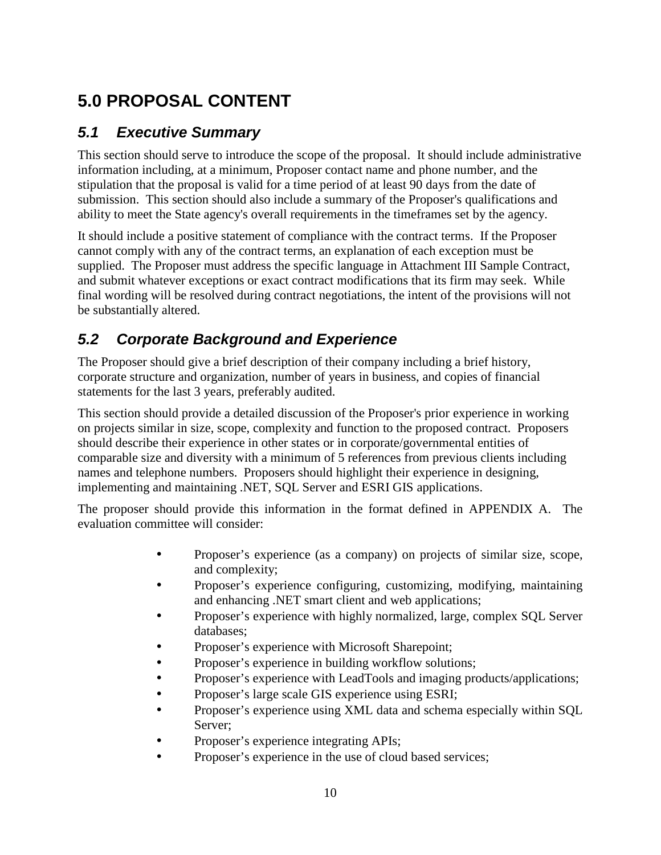# **5.0 PROPOSAL CONTENT**

# **5.1 Executive Summary**

This section should serve to introduce the scope of the proposal. It should include administrative information including, at a minimum, Proposer contact name and phone number, and the stipulation that the proposal is valid for a time period of at least 90 days from the date of submission. This section should also include a summary of the Proposer's qualifications and ability to meet the State agency's overall requirements in the timeframes set by the agency.

It should include a positive statement of compliance with the contract terms. If the Proposer cannot comply with any of the contract terms, an explanation of each exception must be supplied. The Proposer must address the specific language in Attachment III Sample Contract, and submit whatever exceptions or exact contract modifications that its firm may seek. While final wording will be resolved during contract negotiations, the intent of the provisions will not be substantially altered.

# **5.2 Corporate Background and Experience**

The Proposer should give a brief description of their company including a brief history, corporate structure and organization, number of years in business, and copies of financial statements for the last 3 years, preferably audited.

This section should provide a detailed discussion of the Proposer's prior experience in working on projects similar in size, scope, complexity and function to the proposed contract. Proposers should describe their experience in other states or in corporate/governmental entities of comparable size and diversity with a minimum of 5 references from previous clients including names and telephone numbers. Proposers should highlight their experience in designing, implementing and maintaining .NET, SQL Server and ESRI GIS applications.

The proposer should provide this information in the format defined in APPENDIX A. The evaluation committee will consider:

- Proposer's experience (as a company) on projects of similar size, scope, and complexity;
- Proposer's experience configuring, customizing, modifying, maintaining and enhancing .NET smart client and web applications;
- Proposer's experience with highly normalized, large, complex SQL Server databases;
- Proposer's experience with Microsoft Sharepoint;
- Proposer's experience in building workflow solutions;
- Proposer's experience with LeadTools and imaging products/applications;
- Proposer's large scale GIS experience using ESRI;
- Proposer's experience using XML data and schema especially within SQL Server;
- Proposer's experience integrating APIs;
- Proposer's experience in the use of cloud based services;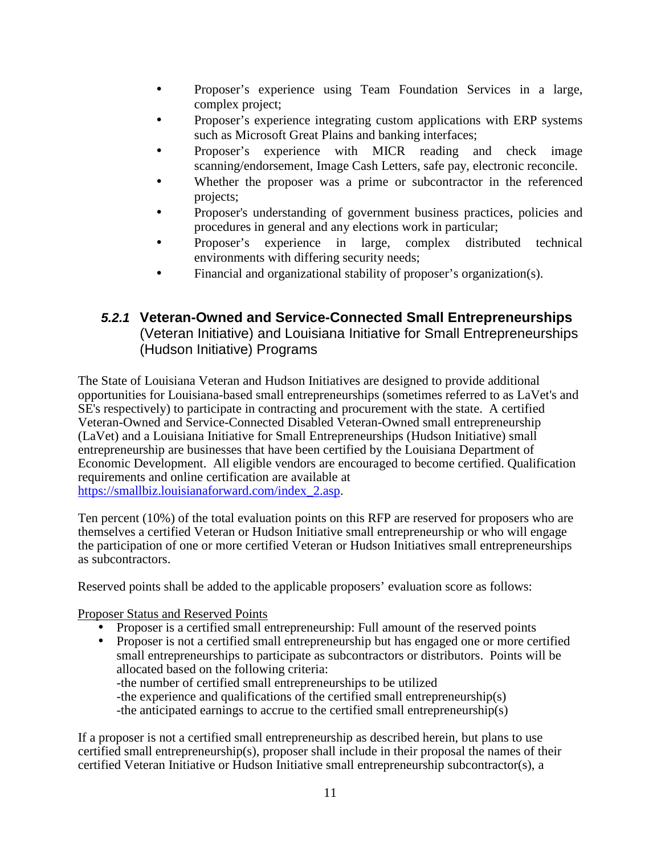- Proposer's experience using Team Foundation Services in a large, complex project;
- Proposer's experience integrating custom applications with ERP systems such as Microsoft Great Plains and banking interfaces;
- Proposer's experience with MICR reading and check image scanning/endorsement, Image Cash Letters, safe pay, electronic reconcile.
- Whether the proposer was a prime or subcontractor in the referenced projects;
- Proposer's understanding of government business practices, policies and procedures in general and any elections work in particular;
- Proposer's experience in large, complex distributed technical environments with differing security needs;
- Financial and organizational stability of proposer's organization(s).

# **5.2.1 Veteran-Owned and Service-Connected Small Entrepreneurships**  (Veteran Initiative) and Louisiana Initiative for Small Entrepreneurships (Hudson Initiative) Programs

The State of Louisiana Veteran and Hudson Initiatives are designed to provide additional opportunities for Louisiana-based small entrepreneurships (sometimes referred to as LaVet's and SE's respectively) to participate in contracting and procurement with the state. A certified Veteran-Owned and Service-Connected Disabled Veteran-Owned small entrepreneurship (LaVet) and a Louisiana Initiative for Small Entrepreneurships (Hudson Initiative) small entrepreneurship are businesses that have been certified by the Louisiana Department of Economic Development. All eligible vendors are encouraged to become certified. Qualification requirements and online certification are available at https://smallbiz.louisianaforward.com/index\_2.asp.

Ten percent (10%) of the total evaluation points on this RFP are reserved for proposers who are themselves a certified Veteran or Hudson Initiative small entrepreneurship or who will engage the participation of one or more certified Veteran or Hudson Initiatives small entrepreneurships as subcontractors.

Reserved points shall be added to the applicable proposers' evaluation score as follows:

Proposer Status and Reserved Points

- Proposer is a certified small entrepreneurship: Full amount of the reserved points
- Proposer is not a certified small entrepreneurship but has engaged one or more certified small entrepreneurships to participate as subcontractors or distributors. Points will be allocated based on the following criteria:

-the number of certified small entrepreneurships to be utilized

-the experience and qualifications of the certified small entrepreneurship(s)

-the anticipated earnings to accrue to the certified small entrepreneurship(s)

If a proposer is not a certified small entrepreneurship as described herein, but plans to use certified small entrepreneurship(s), proposer shall include in their proposal the names of their certified Veteran Initiative or Hudson Initiative small entrepreneurship subcontractor(s), a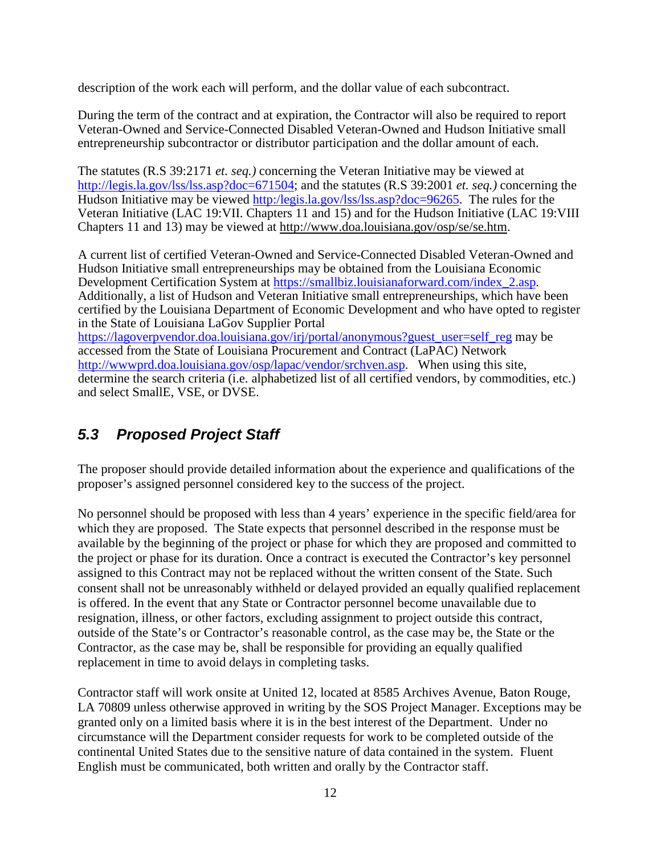description of the work each will perform, and the dollar value of each subcontract.

During the term of the contract and at expiration, the Contractor will also be required to report Veteran-Owned and Service-Connected Disabled Veteran-Owned and Hudson Initiative small entrepreneurship subcontractor or distributor participation and the dollar amount of each.

The statutes (R.S 39:2171 *et. seq.)* concerning the Veteran Initiative may be viewed at http://legis.la.gov/lss/lss.asp?doc=671504; and the statutes (R.S 39:2001 *et. seq.)* concerning the Hudson Initiative may be viewed http:/legis.la.gov/lss/lss.asp?doc=96265. The rules for the Veteran Initiative (LAC 19:VII. Chapters 11 and 15) and for the Hudson Initiative (LAC 19:VIII Chapters 11 and 13) may be viewed at http://www.doa.louisiana.gov/osp/se/se.htm.

A current list of certified Veteran-Owned and Service-Connected Disabled Veteran-Owned and Hudson Initiative small entrepreneurships may be obtained from the Louisiana Economic Development Certification System at https://smallbiz.louisianaforward.com/index\_2.asp. Additionally, a list of Hudson and Veteran Initiative small entrepreneurships, which have been certified by the Louisiana Department of Economic Development and who have opted to register in the State of Louisiana LaGov Supplier Portal https://lagoverpvendor.doa.louisiana.gov/irj/portal/anonymous?guest\_user=self\_reg may be accessed from the State of Louisiana Procurement and Contract (LaPAC) Network http://wwwprd.doa.louisiana.gov/osp/lapac/vendor/srchven.asp. When using this site, determine the search criteria (i.e. alphabetized list of all certified vendors, by commodities, etc.) and select SmallE, VSE, or DVSE.

# **5.3 Proposed Project Staff**

The proposer should provide detailed information about the experience and qualifications of the proposer's assigned personnel considered key to the success of the project.

No personnel should be proposed with less than 4 years' experience in the specific field/area for which they are proposed. The State expects that personnel described in the response must be available by the beginning of the project or phase for which they are proposed and committed to the project or phase for its duration. Once a contract is executed the Contractor's key personnel assigned to this Contract may not be replaced without the written consent of the State. Such consent shall not be unreasonably withheld or delayed provided an equally qualified replacement is offered. In the event that any State or Contractor personnel become unavailable due to resignation, illness, or other factors, excluding assignment to project outside this contract, outside of the State's or Contractor's reasonable control, as the case may be, the State or the Contractor, as the case may be, shall be responsible for providing an equally qualified replacement in time to avoid delays in completing tasks.

Contractor staff will work onsite at United 12, located at 8585 Archives Avenue, Baton Rouge, LA 70809 unless otherwise approved in writing by the SOS Project Manager. Exceptions may be granted only on a limited basis where it is in the best interest of the Department. Under no circumstance will the Department consider requests for work to be completed outside of the continental United States due to the sensitive nature of data contained in the system. Fluent English must be communicated, both written and orally by the Contractor staff.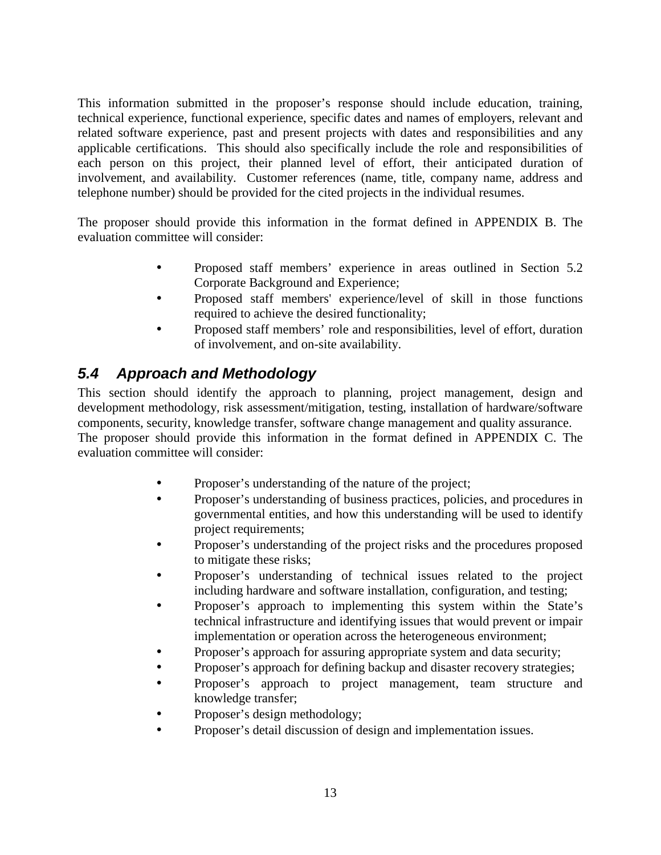This information submitted in the proposer's response should include education, training, technical experience, functional experience, specific dates and names of employers, relevant and related software experience, past and present projects with dates and responsibilities and any applicable certifications. This should also specifically include the role and responsibilities of each person on this project, their planned level of effort, their anticipated duration of involvement, and availability. Customer references (name, title, company name, address and telephone number) should be provided for the cited projects in the individual resumes.

The proposer should provide this information in the format defined in APPENDIX B. The evaluation committee will consider:

- Proposed staff members' experience in areas outlined in Section 5.2 Corporate Background and Experience;
- Proposed staff members' experience/level of skill in those functions required to achieve the desired functionality;
- Proposed staff members' role and responsibilities, level of effort, duration of involvement, and on-site availability.

# **5.4 Approach and Methodology**

This section should identify the approach to planning, project management, design and development methodology, risk assessment/mitigation, testing, installation of hardware/software components, security, knowledge transfer, software change management and quality assurance. The proposer should provide this information in the format defined in APPENDIX C. The

evaluation committee will consider:

- Proposer's understanding of the nature of the project;
- Proposer's understanding of business practices, policies, and procedures in governmental entities, and how this understanding will be used to identify project requirements;
- Proposer's understanding of the project risks and the procedures proposed to mitigate these risks;
- Proposer's understanding of technical issues related to the project including hardware and software installation, configuration, and testing;
- Proposer's approach to implementing this system within the State's technical infrastructure and identifying issues that would prevent or impair implementation or operation across the heterogeneous environment;
- Proposer's approach for assuring appropriate system and data security;
- Proposer's approach for defining backup and disaster recovery strategies;
- Proposer's approach to project management, team structure and knowledge transfer;
- Proposer's design methodology;
- Proposer's detail discussion of design and implementation issues.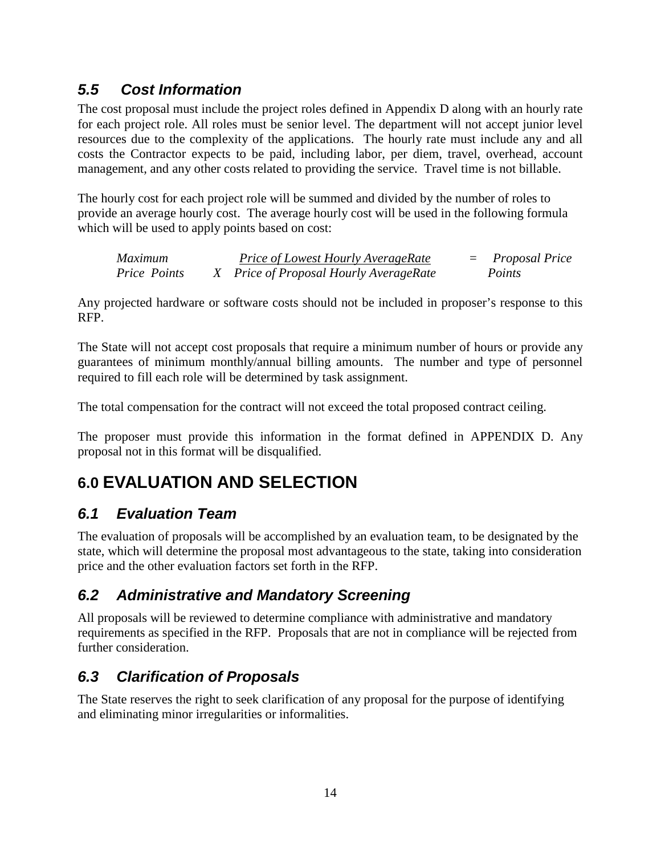# **5.5 Cost Information**

The cost proposal must include the project roles defined in Appendix D along with an hourly rate for each project role. All roles must be senior level. The department will not accept junior level resources due to the complexity of the applications. The hourly rate must include any and all costs the Contractor expects to be paid, including labor, per diem, travel, overhead, account management, and any other costs related to providing the service. Travel time is not billable.

The hourly cost for each project role will be summed and divided by the number of roles to provide an average hourly cost. The average hourly cost will be used in the following formula which will be used to apply points based on cost:

*Maximum Price of Lowest Hourly AverageRate* = *Proposal Price Price Points X Price of Proposal Hourly AverageRate Points* 

Any projected hardware or software costs should not be included in proposer's response to this RFP.

The State will not accept cost proposals that require a minimum number of hours or provide any guarantees of minimum monthly/annual billing amounts. The number and type of personnel required to fill each role will be determined by task assignment.

The total compensation for the contract will not exceed the total proposed contract ceiling.

The proposer must provide this information in the format defined in APPENDIX D. Any proposal not in this format will be disqualified.

# **6.0 EVALUATION AND SELECTION**

# **6.1 Evaluation Team**

The evaluation of proposals will be accomplished by an evaluation team, to be designated by the state, which will determine the proposal most advantageous to the state, taking into consideration price and the other evaluation factors set forth in the RFP.

# **6.2 Administrative and Mandatory Screening**

All proposals will be reviewed to determine compliance with administrative and mandatory requirements as specified in the RFP. Proposals that are not in compliance will be rejected from further consideration.

# **6.3 Clarification of Proposals**

The State reserves the right to seek clarification of any proposal for the purpose of identifying and eliminating minor irregularities or informalities.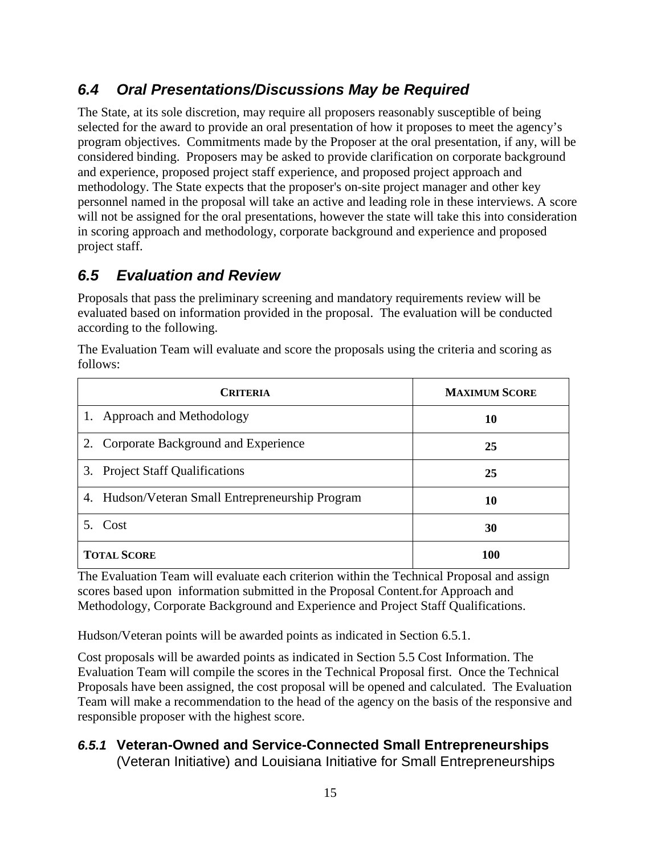# **6.4 Oral Presentations/Discussions May be Required**

The State, at its sole discretion, may require all proposers reasonably susceptible of being selected for the award to provide an oral presentation of how it proposes to meet the agency's program objectives. Commitments made by the Proposer at the oral presentation, if any, will be considered binding. Proposers may be asked to provide clarification on corporate background and experience, proposed project staff experience, and proposed project approach and methodology. The State expects that the proposer's on-site project manager and other key personnel named in the proposal will take an active and leading role in these interviews. A score will not be assigned for the oral presentations, however the state will take this into consideration in scoring approach and methodology, corporate background and experience and proposed project staff.

# **6.5 Evaluation and Review**

Proposals that pass the preliminary screening and mandatory requirements review will be evaluated based on information provided in the proposal. The evaluation will be conducted according to the following.

The Evaluation Team will evaluate and score the proposals using the criteria and scoring as follows:

| <b>CRITERIA</b>                                  | <b>MAXIMUM SCORE</b> |
|--------------------------------------------------|----------------------|
| 1. Approach and Methodology                      | 10                   |
| Corporate Background and Experience<br>2.        | 25                   |
| 3. Project Staff Qualifications                  | 25                   |
| 4. Hudson/Veteran Small Entrepreneurship Program | 10                   |
| 5. Cost                                          | 30                   |
| <b>TOTAL SCORE</b>                               | <b>100</b>           |

The Evaluation Team will evaluate each criterion within the Technical Proposal and assign scores based upon information submitted in the Proposal Content.for Approach and Methodology, Corporate Background and Experience and Project Staff Qualifications.

Hudson/Veteran points will be awarded points as indicated in Section 6.5.1.

Cost proposals will be awarded points as indicated in Section 5.5 Cost Information. The Evaluation Team will compile the scores in the Technical Proposal first. Once the Technical Proposals have been assigned, the cost proposal will be opened and calculated. The Evaluation Team will make a recommendation to the head of the agency on the basis of the responsive and responsible proposer with the highest score.

# **6.5.1 Veteran-Owned and Service-Connected Small Entrepreneurships**

(Veteran Initiative) and Louisiana Initiative for Small Entrepreneurships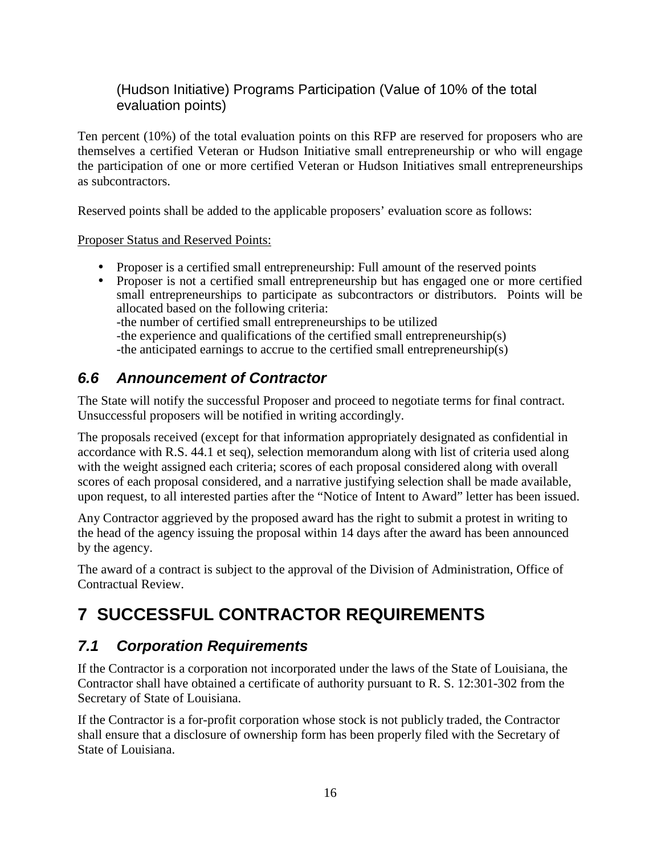# (Hudson Initiative) Programs Participation (Value of 10% of the total evaluation points)

Ten percent (10%) of the total evaluation points on this RFP are reserved for proposers who are themselves a certified Veteran or Hudson Initiative small entrepreneurship or who will engage the participation of one or more certified Veteran or Hudson Initiatives small entrepreneurships as subcontractors.

Reserved points shall be added to the applicable proposers' evaluation score as follows:

Proposer Status and Reserved Points:

- Proposer is a certified small entrepreneurship: Full amount of the reserved points
- Proposer is not a certified small entrepreneurship but has engaged one or more certified small entrepreneurships to participate as subcontractors or distributors. Points will be allocated based on the following criteria:

-the number of certified small entrepreneurships to be utilized

-the experience and qualifications of the certified small entrepreneurship(s)

-the anticipated earnings to accrue to the certified small entrepreneurship(s)

# **6.6 Announcement of Contractor**

The State will notify the successful Proposer and proceed to negotiate terms for final contract. Unsuccessful proposers will be notified in writing accordingly.

The proposals received (except for that information appropriately designated as confidential in accordance with R.S. 44.1 et seq), selection memorandum along with list of criteria used along with the weight assigned each criteria; scores of each proposal considered along with overall scores of each proposal considered, and a narrative justifying selection shall be made available, upon request, to all interested parties after the "Notice of Intent to Award" letter has been issued.

Any Contractor aggrieved by the proposed award has the right to submit a protest in writing to the head of the agency issuing the proposal within 14 days after the award has been announced by the agency.

The award of a contract is subject to the approval of the Division of Administration, Office of Contractual Review.

# **7 SUCCESSFUL CONTRACTOR REQUIREMENTS**

# **7.1 Corporation Requirements**

If the Contractor is a corporation not incorporated under the laws of the State of Louisiana, the Contractor shall have obtained a certificate of authority pursuant to R. S. 12:301-302 from the Secretary of State of Louisiana.

If the Contractor is a for-profit corporation whose stock is not publicly traded, the Contractor shall ensure that a disclosure of ownership form has been properly filed with the Secretary of State of Louisiana.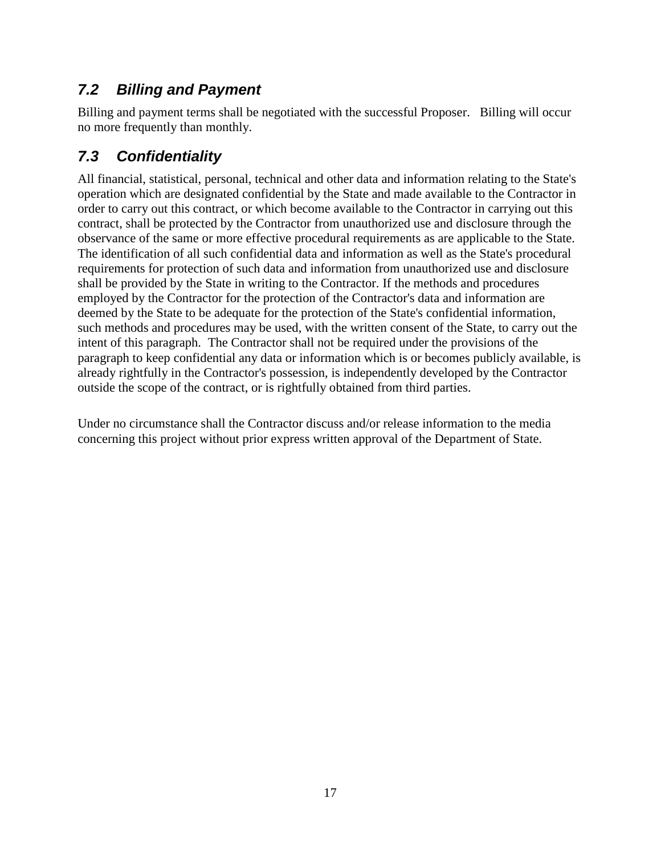# **7.2 Billing and Payment**

Billing and payment terms shall be negotiated with the successful Proposer. Billing will occur no more frequently than monthly.

# **7.3 Confidentiality**

All financial, statistical, personal, technical and other data and information relating to the State's operation which are designated confidential by the State and made available to the Contractor in order to carry out this contract, or which become available to the Contractor in carrying out this contract, shall be protected by the Contractor from unauthorized use and disclosure through the observance of the same or more effective procedural requirements as are applicable to the State. The identification of all such confidential data and information as well as the State's procedural requirements for protection of such data and information from unauthorized use and disclosure shall be provided by the State in writing to the Contractor. If the methods and procedures employed by the Contractor for the protection of the Contractor's data and information are deemed by the State to be adequate for the protection of the State's confidential information, such methods and procedures may be used, with the written consent of the State, to carry out the intent of this paragraph. The Contractor shall not be required under the provisions of the paragraph to keep confidential any data or information which is or becomes publicly available, is already rightfully in the Contractor's possession, is independently developed by the Contractor outside the scope of the contract, or is rightfully obtained from third parties.

Under no circumstance shall the Contractor discuss and/or release information to the media concerning this project without prior express written approval of the Department of State.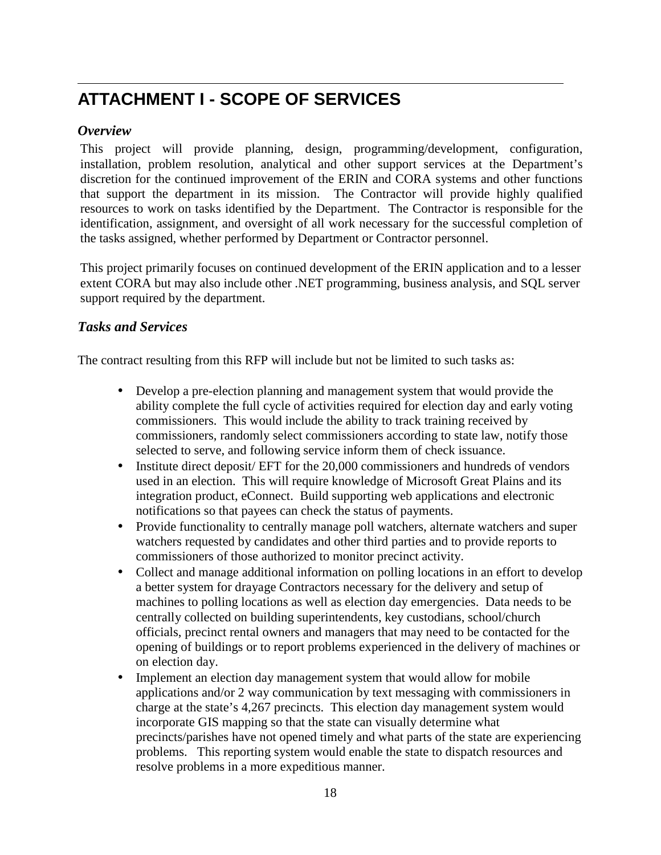# **ATTACHMENT I - SCOPE OF SERVICES**

## *Overview*

This project will provide planning, design, programming/development, configuration, installation, problem resolution, analytical and other support services at the Department's discretion for the continued improvement of the ERIN and CORA systems and other functions that support the department in its mission. The Contractor will provide highly qualified resources to work on tasks identified by the Department. The Contractor is responsible for the identification, assignment, and oversight of all work necessary for the successful completion of the tasks assigned, whether performed by Department or Contractor personnel.

This project primarily focuses on continued development of the ERIN application and to a lesser extent CORA but may also include other .NET programming, business analysis, and SQL server support required by the department.

## *Tasks and Services*

The contract resulting from this RFP will include but not be limited to such tasks as:

- Develop a pre-election planning and management system that would provide the ability complete the full cycle of activities required for election day and early voting commissioners. This would include the ability to track training received by commissioners, randomly select commissioners according to state law, notify those selected to serve, and following service inform them of check issuance.
- Institute direct deposit/ EFT for the 20,000 commissioners and hundreds of vendors used in an election. This will require knowledge of Microsoft Great Plains and its integration product, eConnect. Build supporting web applications and electronic notifications so that payees can check the status of payments.
- Provide functionality to centrally manage poll watchers, alternate watchers and super watchers requested by candidates and other third parties and to provide reports to commissioners of those authorized to monitor precinct activity.
- Collect and manage additional information on polling locations in an effort to develop a better system for drayage Contractors necessary for the delivery and setup of machines to polling locations as well as election day emergencies. Data needs to be centrally collected on building superintendents, key custodians, school/church officials, precinct rental owners and managers that may need to be contacted for the opening of buildings or to report problems experienced in the delivery of machines or on election day.
- Implement an election day management system that would allow for mobile applications and/or 2 way communication by text messaging with commissioners in charge at the state's 4,267 precincts. This election day management system would incorporate GIS mapping so that the state can visually determine what precincts/parishes have not opened timely and what parts of the state are experiencing problems. This reporting system would enable the state to dispatch resources and resolve problems in a more expeditious manner.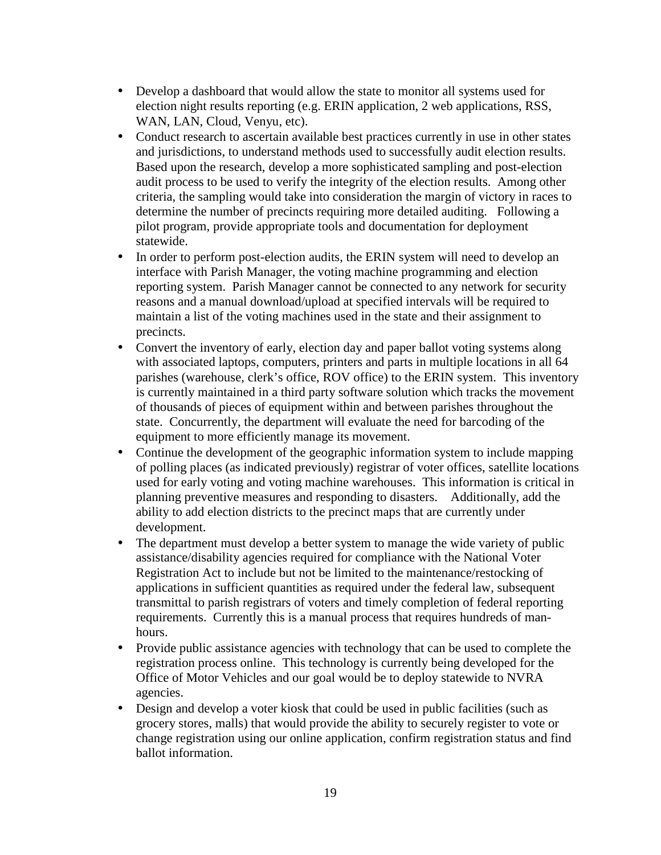- Develop a dashboard that would allow the state to monitor all systems used for election night results reporting (e.g. ERIN application, 2 web applications, RSS, WAN, LAN, Cloud, Venyu, etc).
- Conduct research to ascertain available best practices currently in use in other states and jurisdictions, to understand methods used to successfully audit election results. Based upon the research, develop a more sophisticated sampling and post-election audit process to be used to verify the integrity of the election results. Among other criteria, the sampling would take into consideration the margin of victory in races to determine the number of precincts requiring more detailed auditing. Following a pilot program, provide appropriate tools and documentation for deployment statewide.
- In order to perform post-election audits, the ERIN system will need to develop an interface with Parish Manager, the voting machine programming and election reporting system. Parish Manager cannot be connected to any network for security reasons and a manual download/upload at specified intervals will be required to maintain a list of the voting machines used in the state and their assignment to precincts.
- Convert the inventory of early, election day and paper ballot voting systems along with associated laptops, computers, printers and parts in multiple locations in all 64 parishes (warehouse, clerk's office, ROV office) to the ERIN system. This inventory is currently maintained in a third party software solution which tracks the movement of thousands of pieces of equipment within and between parishes throughout the state. Concurrently, the department will evaluate the need for barcoding of the equipment to more efficiently manage its movement.
- Continue the development of the geographic information system to include mapping of polling places (as indicated previously) registrar of voter offices, satellite locations used for early voting and voting machine warehouses. This information is critical in planning preventive measures and responding to disasters. Additionally, add the ability to add election districts to the precinct maps that are currently under development.
- The department must develop a better system to manage the wide variety of public assistance/disability agencies required for compliance with the National Voter Registration Act to include but not be limited to the maintenance/restocking of applications in sufficient quantities as required under the federal law, subsequent transmittal to parish registrars of voters and timely completion of federal reporting requirements. Currently this is a manual process that requires hundreds of manhours.
- Provide public assistance agencies with technology that can be used to complete the registration process online. This technology is currently being developed for the Office of Motor Vehicles and our goal would be to deploy statewide to NVRA agencies.
- Design and develop a voter kiosk that could be used in public facilities (such as grocery stores, malls) that would provide the ability to securely register to vote or change registration using our online application, confirm registration status and find ballot information.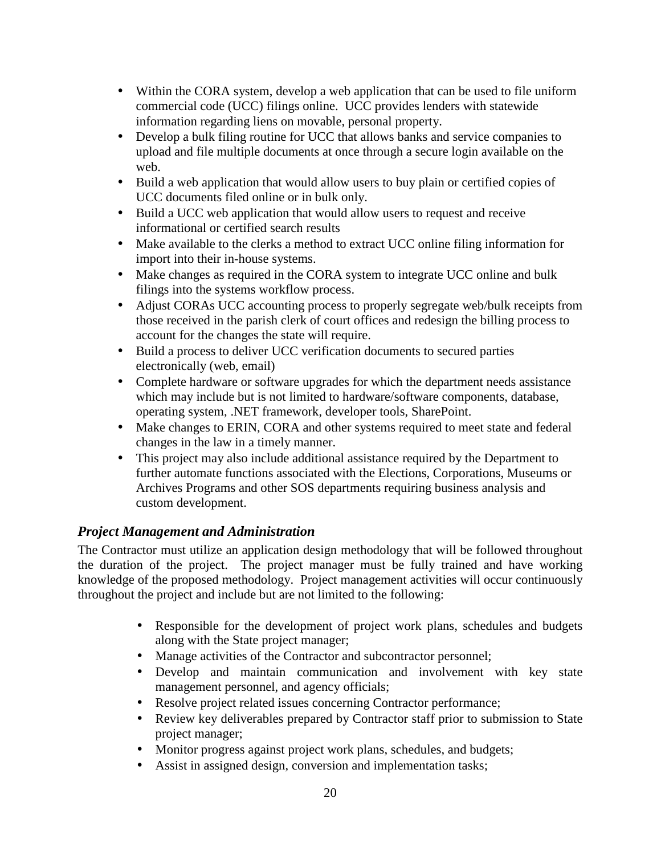- Within the CORA system, develop a web application that can be used to file uniform commercial code (UCC) filings online. UCC provides lenders with statewide information regarding liens on movable, personal property.
- Develop a bulk filing routine for UCC that allows banks and service companies to upload and file multiple documents at once through a secure login available on the web.
- Build a web application that would allow users to buy plain or certified copies of UCC documents filed online or in bulk only.
- Build a UCC web application that would allow users to request and receive informational or certified search results
- Make available to the clerks a method to extract UCC online filing information for import into their in-house systems.
- Make changes as required in the CORA system to integrate UCC online and bulk filings into the systems workflow process.
- Adjust CORAs UCC accounting process to properly segregate web/bulk receipts from those received in the parish clerk of court offices and redesign the billing process to account for the changes the state will require.
- Build a process to deliver UCC verification documents to secured parties electronically (web, email)
- Complete hardware or software upgrades for which the department needs assistance which may include but is not limited to hardware/software components, database, operating system, .NET framework, developer tools, SharePoint.
- Make changes to ERIN, CORA and other systems required to meet state and federal changes in the law in a timely manner.
- This project may also include additional assistance required by the Department to further automate functions associated with the Elections, Corporations, Museums or Archives Programs and other SOS departments requiring business analysis and custom development.

# *Project Management and Administration*

The Contractor must utilize an application design methodology that will be followed throughout the duration of the project. The project manager must be fully trained and have working knowledge of the proposed methodology. Project management activities will occur continuously throughout the project and include but are not limited to the following:

- Responsible for the development of project work plans, schedules and budgets along with the State project manager;
- Manage activities of the Contractor and subcontractor personnel;
- Develop and maintain communication and involvement with key state management personnel, and agency officials;
- Resolve project related issues concerning Contractor performance;
- Review key deliverables prepared by Contractor staff prior to submission to State project manager;
- Monitor progress against project work plans, schedules, and budgets;
- Assist in assigned design, conversion and implementation tasks;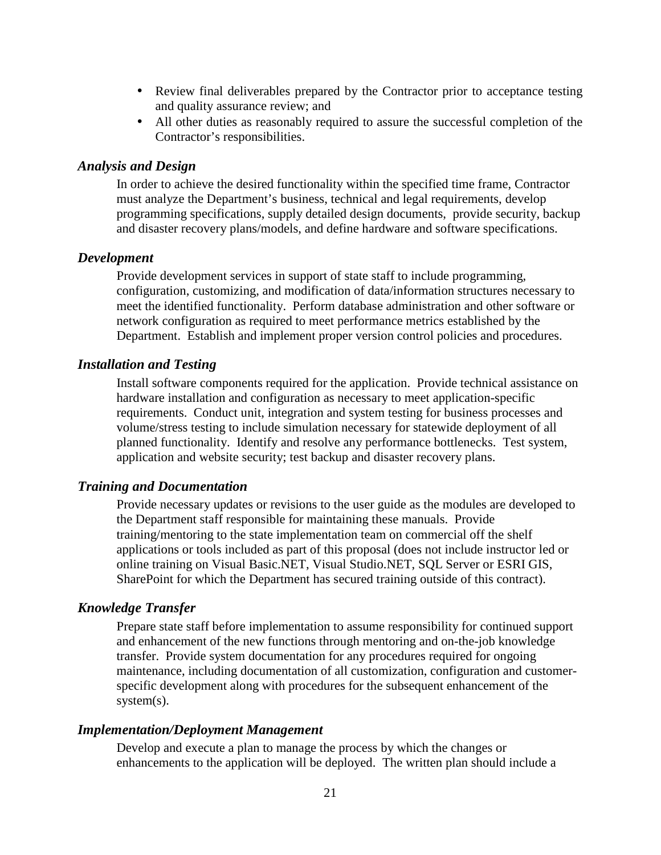- Review final deliverables prepared by the Contractor prior to acceptance testing and quality assurance review; and
- All other duties as reasonably required to assure the successful completion of the Contractor's responsibilities.

### *Analysis and Design*

In order to achieve the desired functionality within the specified time frame, Contractor must analyze the Department's business, technical and legal requirements, develop programming specifications, supply detailed design documents, provide security, backup and disaster recovery plans/models, and define hardware and software specifications.

#### *Development*

Provide development services in support of state staff to include programming, configuration, customizing, and modification of data/information structures necessary to meet the identified functionality. Perform database administration and other software or network configuration as required to meet performance metrics established by the Department. Establish and implement proper version control policies and procedures.

#### *Installation and Testing*

Install software components required for the application. Provide technical assistance on hardware installation and configuration as necessary to meet application-specific requirements. Conduct unit, integration and system testing for business processes and volume/stress testing to include simulation necessary for statewide deployment of all planned functionality. Identify and resolve any performance bottlenecks. Test system, application and website security; test backup and disaster recovery plans.

#### *Training and Documentation*

Provide necessary updates or revisions to the user guide as the modules are developed to the Department staff responsible for maintaining these manuals. Provide training/mentoring to the state implementation team on commercial off the shelf applications or tools included as part of this proposal (does not include instructor led or online training on Visual Basic.NET, Visual Studio.NET, SQL Server or ESRI GIS, SharePoint for which the Department has secured training outside of this contract).

#### *Knowledge Transfer*

Prepare state staff before implementation to assume responsibility for continued support and enhancement of the new functions through mentoring and on-the-job knowledge transfer. Provide system documentation for any procedures required for ongoing maintenance, including documentation of all customization, configuration and customerspecific development along with procedures for the subsequent enhancement of the system(s).

#### *Implementation/Deployment Management*

Develop and execute a plan to manage the process by which the changes or enhancements to the application will be deployed. The written plan should include a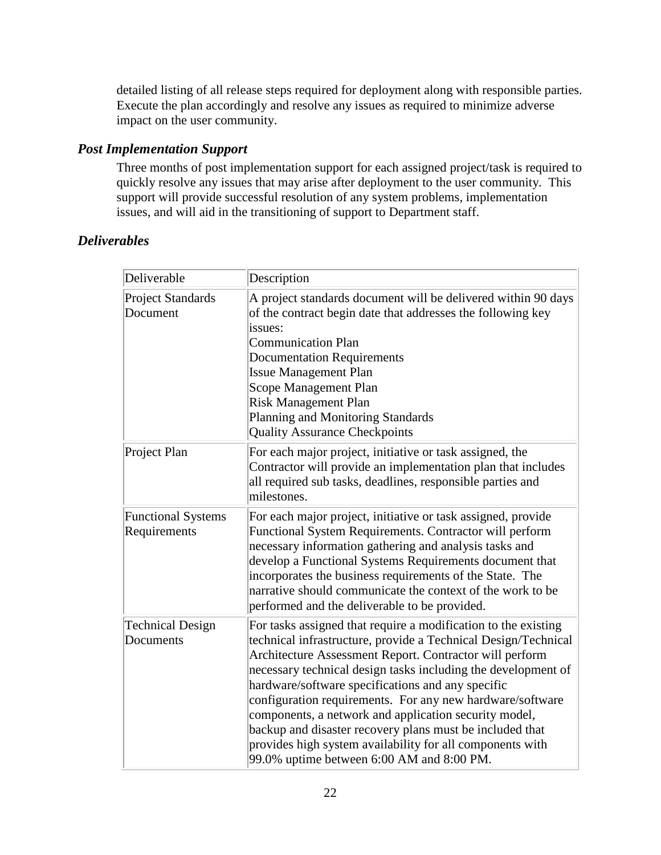detailed listing of all release steps required for deployment along with responsible parties. Execute the plan accordingly and resolve any issues as required to minimize adverse impact on the user community.

### *Post Implementation Support*

Three months of post implementation support for each assigned project/task is required to quickly resolve any issues that may arise after deployment to the user community. This support will provide successful resolution of any system problems, implementation issues, and will aid in the transitioning of support to Department staff.

### *Deliverables*

| Deliverable                               | Description                                                                                                                                                                                                                                                                                                                                                                                                                                                                                                                                                                                                   |
|-------------------------------------------|---------------------------------------------------------------------------------------------------------------------------------------------------------------------------------------------------------------------------------------------------------------------------------------------------------------------------------------------------------------------------------------------------------------------------------------------------------------------------------------------------------------------------------------------------------------------------------------------------------------|
| Project Standards<br>Document             | A project standards document will be delivered within 90 days<br>of the contract begin date that addresses the following key<br>issues:<br><b>Communication Plan</b><br><b>Documentation Requirements</b><br><b>Issue Management Plan</b><br>Scope Management Plan<br><b>Risk Management Plan</b><br>Planning and Monitoring Standards<br><b>Quality Assurance Checkpoints</b>                                                                                                                                                                                                                                |
| Project Plan                              | For each major project, initiative or task assigned, the<br>Contractor will provide an implementation plan that includes<br>all required sub tasks, deadlines, responsible parties and<br>milestones.                                                                                                                                                                                                                                                                                                                                                                                                         |
| <b>Functional Systems</b><br>Requirements | For each major project, initiative or task assigned, provide<br>Functional System Requirements. Contractor will perform<br>necessary information gathering and analysis tasks and<br>develop a Functional Systems Requirements document that<br>incorporates the business requirements of the State. The<br>narrative should communicate the context of the work to be<br>performed and the deliverable to be provided.                                                                                                                                                                                       |
| <b>Technical Design</b><br>Documents      | For tasks assigned that require a modification to the existing<br>technical infrastructure, provide a Technical Design/Technical<br>Architecture Assessment Report. Contractor will perform<br>necessary technical design tasks including the development of<br>hardware/software specifications and any specific<br>configuration requirements. For any new hardware/software<br>components, a network and application security model,<br>backup and disaster recovery plans must be included that<br>provides high system availability for all components with<br>99.0% uptime between 6:00 AM and 8:00 PM. |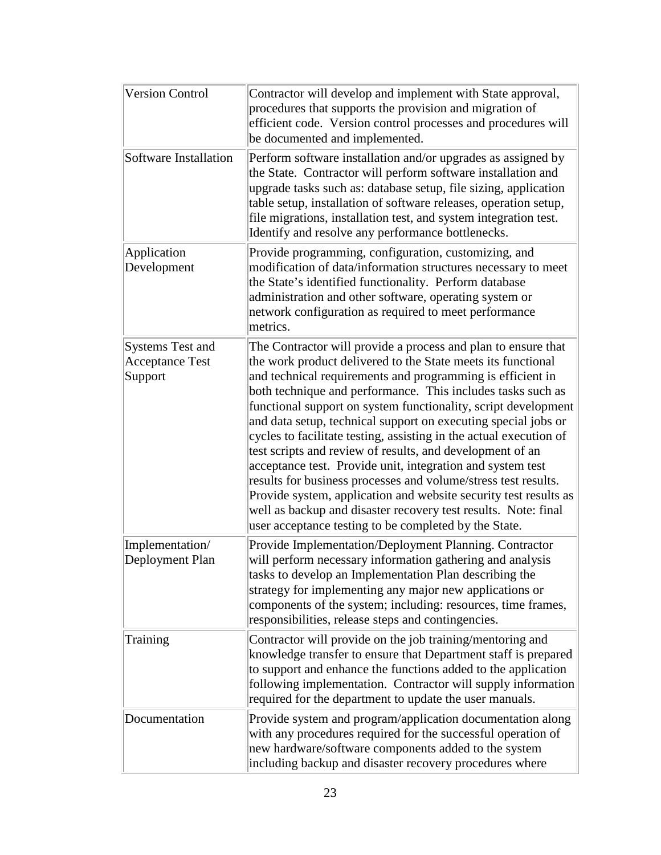| <b>Version Control</b>                                       | Contractor will develop and implement with State approval,<br>procedures that supports the provision and migration of<br>efficient code. Version control processes and procedures will<br>be documented and implemented.                                                                                                                                                                                                                                                                                                                                                                                                                                                                                                                                                                                                                                         |
|--------------------------------------------------------------|------------------------------------------------------------------------------------------------------------------------------------------------------------------------------------------------------------------------------------------------------------------------------------------------------------------------------------------------------------------------------------------------------------------------------------------------------------------------------------------------------------------------------------------------------------------------------------------------------------------------------------------------------------------------------------------------------------------------------------------------------------------------------------------------------------------------------------------------------------------|
| Software Installation                                        | Perform software installation and/or upgrades as assigned by<br>the State. Contractor will perform software installation and<br>upgrade tasks such as: database setup, file sizing, application<br>table setup, installation of software releases, operation setup,<br>file migrations, installation test, and system integration test.<br>Identify and resolve any performance bottlenecks.                                                                                                                                                                                                                                                                                                                                                                                                                                                                     |
| Application<br>Development                                   | Provide programming, configuration, customizing, and<br>modification of data/information structures necessary to meet<br>the State's identified functionality. Perform database<br>administration and other software, operating system or<br>network configuration as required to meet performance<br>metrics.                                                                                                                                                                                                                                                                                                                                                                                                                                                                                                                                                   |
| <b>Systems Test and</b><br><b>Acceptance Test</b><br>Support | The Contractor will provide a process and plan to ensure that<br>the work product delivered to the State meets its functional<br>and technical requirements and programming is efficient in<br>both technique and performance. This includes tasks such as<br>functional support on system functionality, script development<br>and data setup, technical support on executing special jobs or<br>cycles to facilitate testing, assisting in the actual execution of<br>test scripts and review of results, and development of an<br>acceptance test. Provide unit, integration and system test<br>results for business processes and volume/stress test results.<br>Provide system, application and website security test results as<br>well as backup and disaster recovery test results. Note: final<br>user acceptance testing to be completed by the State. |
| Implementation/<br>Deployment Plan                           | Provide Implementation/Deployment Planning. Contractor<br>will perform necessary information gathering and analysis<br>tasks to develop an Implementation Plan describing the<br>strategy for implementing any major new applications or<br>components of the system; including: resources, time frames,<br>responsibilities, release steps and contingencies.                                                                                                                                                                                                                                                                                                                                                                                                                                                                                                   |
| Training                                                     | Contractor will provide on the job training/mentoring and<br>knowledge transfer to ensure that Department staff is prepared<br>to support and enhance the functions added to the application<br>following implementation. Contractor will supply information<br>required for the department to update the user manuals.                                                                                                                                                                                                                                                                                                                                                                                                                                                                                                                                          |
| Documentation                                                | Provide system and program/application documentation along<br>with any procedures required for the successful operation of<br>new hardware/software components added to the system<br>including backup and disaster recovery procedures where                                                                                                                                                                                                                                                                                                                                                                                                                                                                                                                                                                                                                    |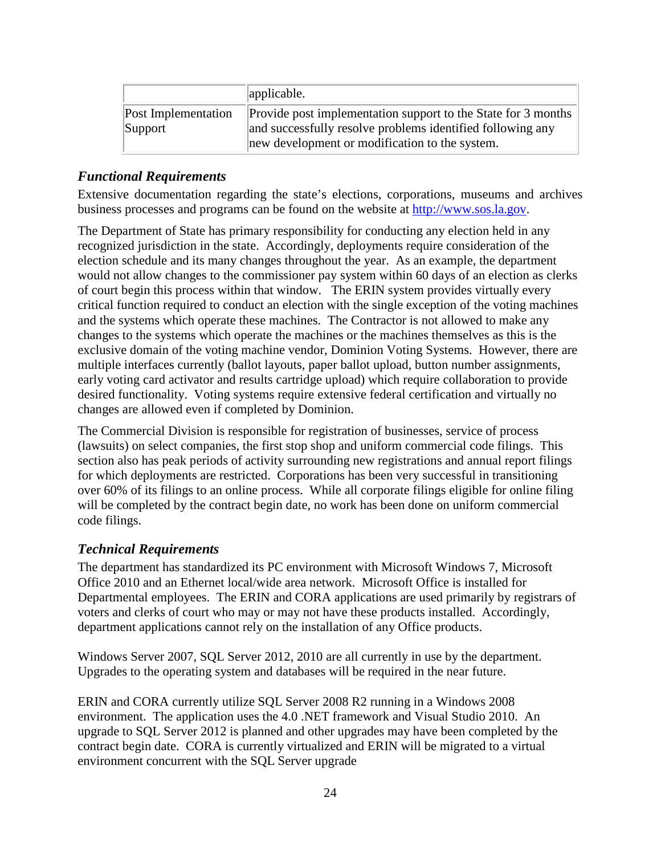|                                | applicable.                                                                                                                                                                   |
|--------------------------------|-------------------------------------------------------------------------------------------------------------------------------------------------------------------------------|
| Post Implementation<br>Support | Provide post implementation support to the State for 3 months<br>and successfully resolve problems identified following any<br>new development or modification to the system. |

### *Functional Requirements*

Extensive documentation regarding the state's elections, corporations, museums and archives business processes and programs can be found on the website at http://www.sos.la.gov.

The Department of State has primary responsibility for conducting any election held in any recognized jurisdiction in the state. Accordingly, deployments require consideration of the election schedule and its many changes throughout the year. As an example, the department would not allow changes to the commissioner pay system within 60 days of an election as clerks of court begin this process within that window. The ERIN system provides virtually every critical function required to conduct an election with the single exception of the voting machines and the systems which operate these machines. The Contractor is not allowed to make any changes to the systems which operate the machines or the machines themselves as this is the exclusive domain of the voting machine vendor, Dominion Voting Systems. However, there are multiple interfaces currently (ballot layouts, paper ballot upload, button number assignments, early voting card activator and results cartridge upload) which require collaboration to provide desired functionality. Voting systems require extensive federal certification and virtually no changes are allowed even if completed by Dominion.

The Commercial Division is responsible for registration of businesses, service of process (lawsuits) on select companies, the first stop shop and uniform commercial code filings. This section also has peak periods of activity surrounding new registrations and annual report filings for which deployments are restricted. Corporations has been very successful in transitioning over 60% of its filings to an online process. While all corporate filings eligible for online filing will be completed by the contract begin date, no work has been done on uniform commercial code filings.

### *Technical Requirements*

The department has standardized its PC environment with Microsoft Windows 7, Microsoft Office 2010 and an Ethernet local/wide area network. Microsoft Office is installed for Departmental employees. The ERIN and CORA applications are used primarily by registrars of voters and clerks of court who may or may not have these products installed. Accordingly, department applications cannot rely on the installation of any Office products.

Windows Server 2007, SQL Server 2012, 2010 are all currently in use by the department. Upgrades to the operating system and databases will be required in the near future.

ERIN and CORA currently utilize SQL Server 2008 R2 running in a Windows 2008 environment. The application uses the 4.0 .NET framework and Visual Studio 2010. An upgrade to SQL Server 2012 is planned and other upgrades may have been completed by the contract begin date. CORA is currently virtualized and ERIN will be migrated to a virtual environment concurrent with the SQL Server upgrade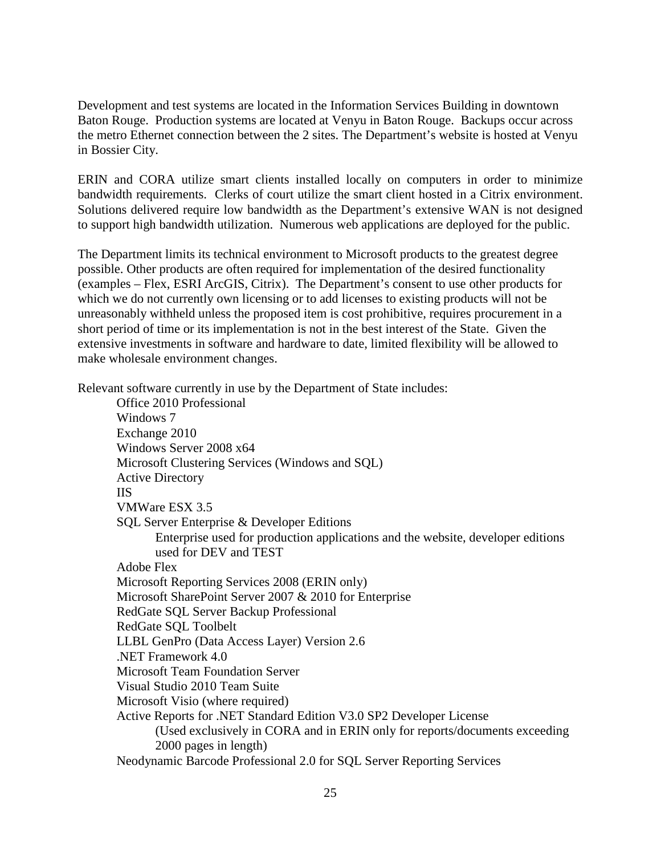Development and test systems are located in the Information Services Building in downtown Baton Rouge. Production systems are located at Venyu in Baton Rouge. Backups occur across the metro Ethernet connection between the 2 sites. The Department's website is hosted at Venyu in Bossier City.

ERIN and CORA utilize smart clients installed locally on computers in order to minimize bandwidth requirements. Clerks of court utilize the smart client hosted in a Citrix environment. Solutions delivered require low bandwidth as the Department's extensive WAN is not designed to support high bandwidth utilization. Numerous web applications are deployed for the public.

The Department limits its technical environment to Microsoft products to the greatest degree possible. Other products are often required for implementation of the desired functionality (examples – Flex, ESRI ArcGIS, Citrix). The Department's consent to use other products for which we do not currently own licensing or to add licenses to existing products will not be unreasonably withheld unless the proposed item is cost prohibitive, requires procurement in a short period of time or its implementation is not in the best interest of the State. Given the extensive investments in software and hardware to date, limited flexibility will be allowed to make wholesale environment changes.

Relevant software currently in use by the Department of State includes:

Office 2010 Professional Windows 7 Exchange 2010 Windows Server 2008 x64 Microsoft Clustering Services (Windows and SQL) Active Directory IIS VMWare ESX 3.5 SQL Server Enterprise & Developer Editions Enterprise used for production applications and the website, developer editions used for DEV and TEST Adobe Flex Microsoft Reporting Services 2008 (ERIN only) Microsoft SharePoint Server 2007 & 2010 for Enterprise RedGate SQL Server Backup Professional RedGate SQL Toolbelt LLBL GenPro (Data Access Layer) Version 2.6 .NET Framework 4.0 Microsoft Team Foundation Server Visual Studio 2010 Team Suite Microsoft Visio (where required) Active Reports for .NET Standard Edition V3.0 SP2 Developer License (Used exclusively in CORA and in ERIN only for reports/documents exceeding 2000 pages in length) Neodynamic Barcode Professional 2.0 for SQL Server Reporting Services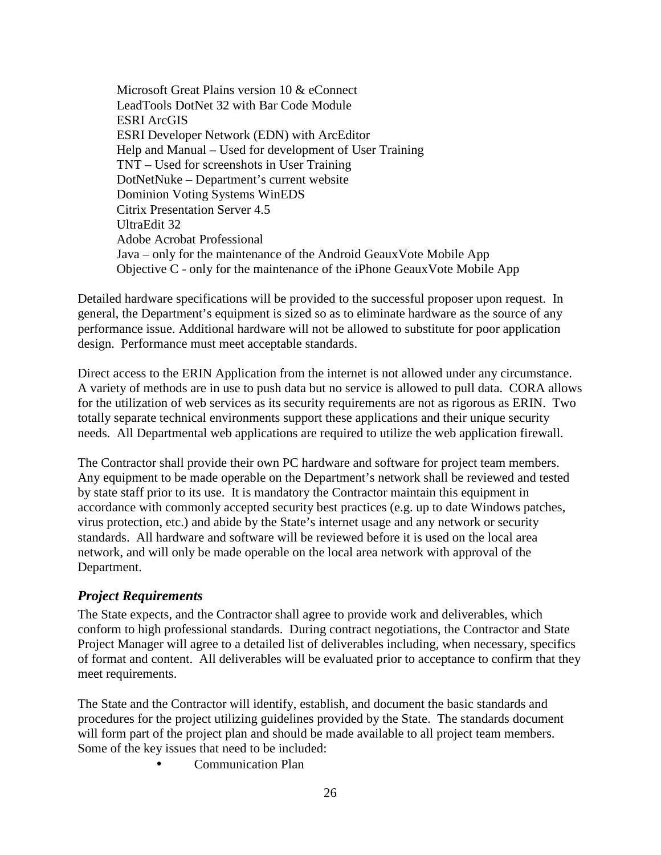Microsoft Great Plains version 10 & eConnect LeadTools DotNet 32 with Bar Code Module ESRI ArcGIS ESRI Developer Network (EDN) with ArcEditor Help and Manual – Used for development of User Training TNT – Used for screenshots in User Training DotNetNuke – Department's current website Dominion Voting Systems WinEDS Citrix Presentation Server 4.5 UltraEdit 32 Adobe Acrobat Professional Java – only for the maintenance of the Android GeauxVote Mobile App Objective C - only for the maintenance of the iPhone GeauxVote Mobile App

Detailed hardware specifications will be provided to the successful proposer upon request. In general, the Department's equipment is sized so as to eliminate hardware as the source of any performance issue. Additional hardware will not be allowed to substitute for poor application design. Performance must meet acceptable standards.

Direct access to the ERIN Application from the internet is not allowed under any circumstance. A variety of methods are in use to push data but no service is allowed to pull data. CORA allows for the utilization of web services as its security requirements are not as rigorous as ERIN. Two totally separate technical environments support these applications and their unique security needs. All Departmental web applications are required to utilize the web application firewall.

The Contractor shall provide their own PC hardware and software for project team members. Any equipment to be made operable on the Department's network shall be reviewed and tested by state staff prior to its use. It is mandatory the Contractor maintain this equipment in accordance with commonly accepted security best practices (e.g. up to date Windows patches, virus protection, etc.) and abide by the State's internet usage and any network or security standards. All hardware and software will be reviewed before it is used on the local area network, and will only be made operable on the local area network with approval of the Department.

### *Project Requirements*

The State expects, and the Contractor shall agree to provide work and deliverables, which conform to high professional standards. During contract negotiations, the Contractor and State Project Manager will agree to a detailed list of deliverables including, when necessary, specifics of format and content. All deliverables will be evaluated prior to acceptance to confirm that they meet requirements.

The State and the Contractor will identify, establish, and document the basic standards and procedures for the project utilizing guidelines provided by the State. The standards document will form part of the project plan and should be made available to all project team members. Some of the key issues that need to be included:

• Communication Plan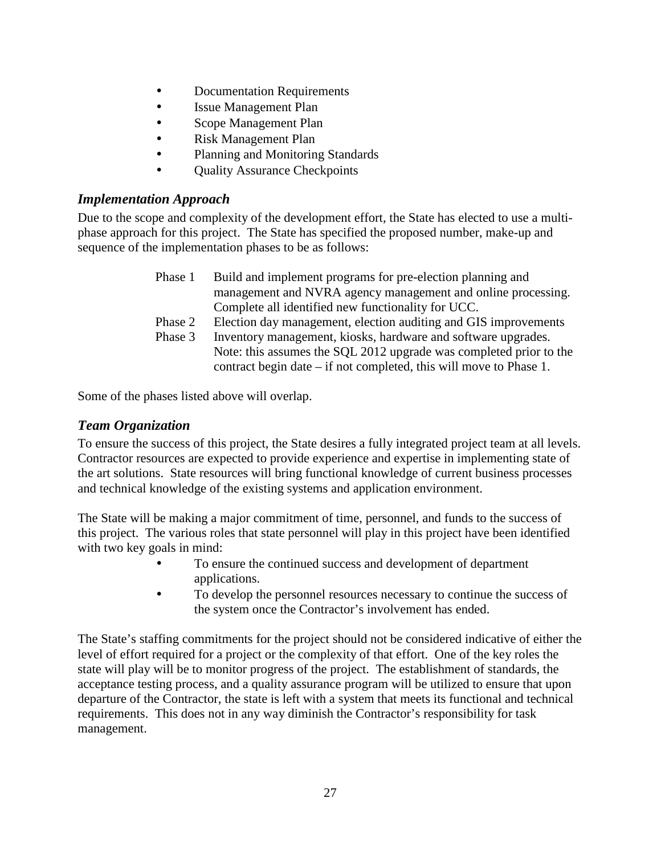- Documentation Requirements
- Issue Management Plan
- Scope Management Plan
- Risk Management Plan
- Planning and Monitoring Standards
- Quality Assurance Checkpoints

### *Implementation Approach*

Due to the scope and complexity of the development effort, the State has elected to use a multiphase approach for this project. The State has specified the proposed number, make-up and sequence of the implementation phases to be as follows:

| Phase 1 | Build and implement programs for pre-election planning and           |
|---------|----------------------------------------------------------------------|
|         | management and NVRA agency management and online processing.         |
|         | Complete all identified new functionality for UCC.                   |
| Phase 2 | Election day management, election auditing and GIS improvements      |
| Phase 3 | Inventory management, kiosks, hardware and software upgrades.        |
|         | Note: this assumes the SQL 2012 upgrade was completed prior to the   |
|         | contract begin date $-$ if not completed, this will move to Phase 1. |

Some of the phases listed above will overlap.

## *Team Organization*

To ensure the success of this project, the State desires a fully integrated project team at all levels. Contractor resources are expected to provide experience and expertise in implementing state of the art solutions. State resources will bring functional knowledge of current business processes and technical knowledge of the existing systems and application environment.

The State will be making a major commitment of time, personnel, and funds to the success of this project. The various roles that state personnel will play in this project have been identified with two key goals in mind:

- To ensure the continued success and development of department applications.
- To develop the personnel resources necessary to continue the success of the system once the Contractor's involvement has ended.

The State's staffing commitments for the project should not be considered indicative of either the level of effort required for a project or the complexity of that effort. One of the key roles the state will play will be to monitor progress of the project. The establishment of standards, the acceptance testing process, and a quality assurance program will be utilized to ensure that upon departure of the Contractor, the state is left with a system that meets its functional and technical requirements. This does not in any way diminish the Contractor's responsibility for task management.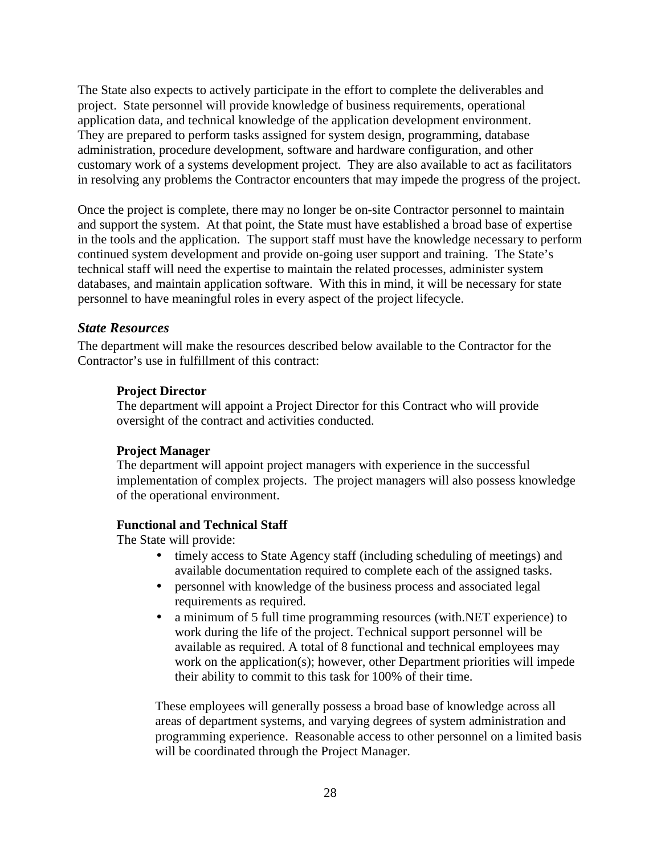The State also expects to actively participate in the effort to complete the deliverables and project. State personnel will provide knowledge of business requirements, operational application data, and technical knowledge of the application development environment. They are prepared to perform tasks assigned for system design, programming, database administration, procedure development, software and hardware configuration, and other customary work of a systems development project. They are also available to act as facilitators in resolving any problems the Contractor encounters that may impede the progress of the project.

Once the project is complete, there may no longer be on-site Contractor personnel to maintain and support the system. At that point, the State must have established a broad base of expertise in the tools and the application. The support staff must have the knowledge necessary to perform continued system development and provide on-going user support and training. The State's technical staff will need the expertise to maintain the related processes, administer system databases, and maintain application software. With this in mind, it will be necessary for state personnel to have meaningful roles in every aspect of the project lifecycle.

#### *State Resources*

The department will make the resources described below available to the Contractor for the Contractor's use in fulfillment of this contract:

#### **Project Director**

The department will appoint a Project Director for this Contract who will provide oversight of the contract and activities conducted.

#### **Project Manager**

The department will appoint project managers with experience in the successful implementation of complex projects. The project managers will also possess knowledge of the operational environment.

#### **Functional and Technical Staff**

The State will provide:

- timely access to State Agency staff (including scheduling of meetings) and available documentation required to complete each of the assigned tasks.
- personnel with knowledge of the business process and associated legal requirements as required.
- a minimum of 5 full time programming resources (with.NET experience) to work during the life of the project. Technical support personnel will be available as required. A total of 8 functional and technical employees may work on the application(s); however, other Department priorities will impede their ability to commit to this task for 100% of their time.

These employees will generally possess a broad base of knowledge across all areas of department systems, and varying degrees of system administration and programming experience. Reasonable access to other personnel on a limited basis will be coordinated through the Project Manager.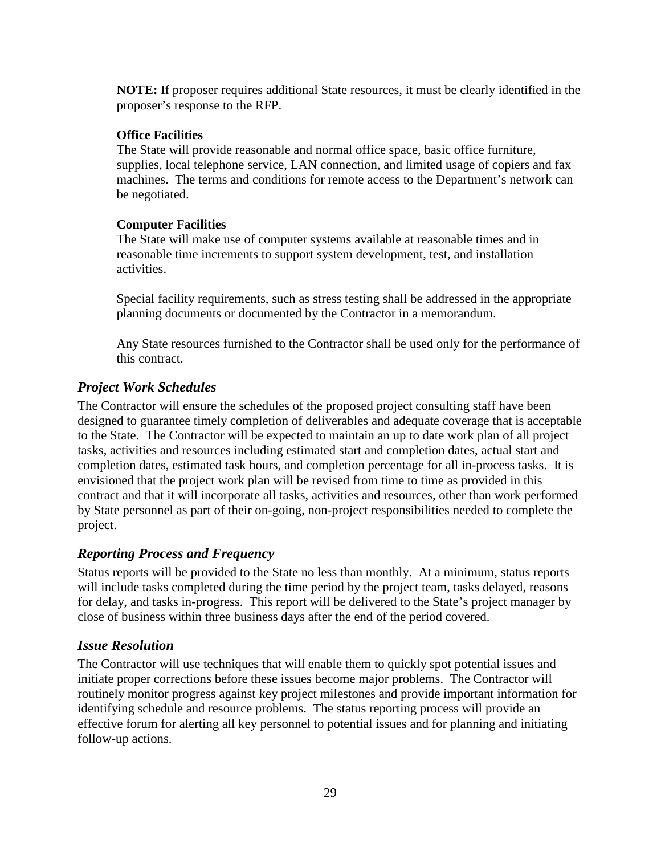**NOTE:** If proposer requires additional State resources, it must be clearly identified in the proposer's response to the RFP.

### **Office Facilities**

The State will provide reasonable and normal office space, basic office furniture, supplies, local telephone service, LAN connection, and limited usage of copiers and fax machines. The terms and conditions for remote access to the Department's network can be negotiated.

### **Computer Facilities**

The State will make use of computer systems available at reasonable times and in reasonable time increments to support system development, test, and installation activities.

Special facility requirements, such as stress testing shall be addressed in the appropriate planning documents or documented by the Contractor in a memorandum.

Any State resources furnished to the Contractor shall be used only for the performance of this contract.

# *Project Work Schedules*

The Contractor will ensure the schedules of the proposed project consulting staff have been designed to guarantee timely completion of deliverables and adequate coverage that is acceptable to the State. The Contractor will be expected to maintain an up to date work plan of all project tasks, activities and resources including estimated start and completion dates, actual start and completion dates, estimated task hours, and completion percentage for all in-process tasks. It is envisioned that the project work plan will be revised from time to time as provided in this contract and that it will incorporate all tasks, activities and resources, other than work performed by State personnel as part of their on-going, non-project responsibilities needed to complete the project.

### *Reporting Process and Frequency*

Status reports will be provided to the State no less than monthly. At a minimum, status reports will include tasks completed during the time period by the project team, tasks delayed, reasons for delay, and tasks in-progress. This report will be delivered to the State's project manager by close of business within three business days after the end of the period covered.

### *Issue Resolution*

The Contractor will use techniques that will enable them to quickly spot potential issues and initiate proper corrections before these issues become major problems. The Contractor will routinely monitor progress against key project milestones and provide important information for identifying schedule and resource problems. The status reporting process will provide an effective forum for alerting all key personnel to potential issues and for planning and initiating follow-up actions.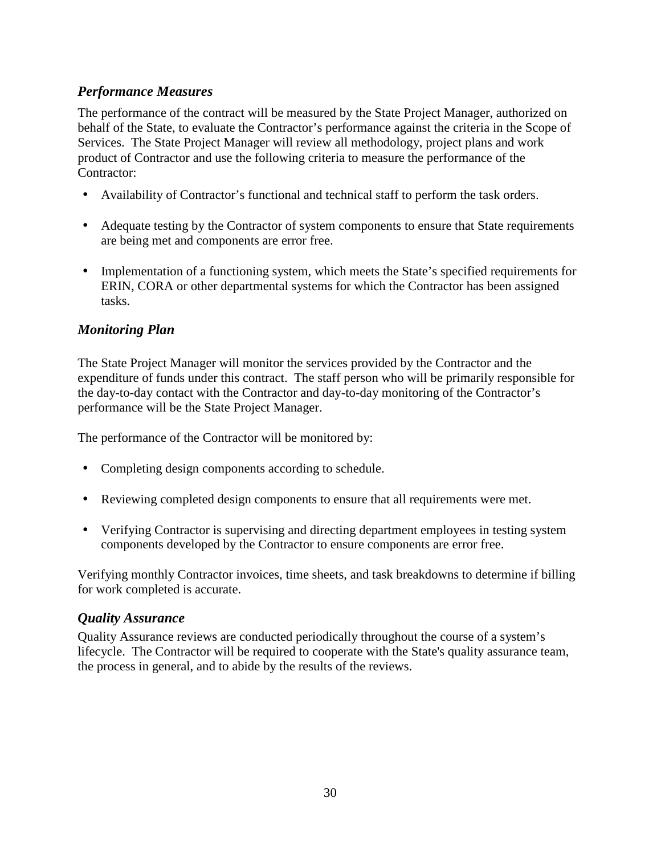# *Performance Measures*

The performance of the contract will be measured by the State Project Manager, authorized on behalf of the State, to evaluate the Contractor's performance against the criteria in the Scope of Services. The State Project Manager will review all methodology, project plans and work product of Contractor and use the following criteria to measure the performance of the Contractor:

- Availability of Contractor's functional and technical staff to perform the task orders.
- Adequate testing by the Contractor of system components to ensure that State requirements are being met and components are error free.
- Implementation of a functioning system, which meets the State's specified requirements for ERIN, CORA or other departmental systems for which the Contractor has been assigned tasks.

## *Monitoring Plan*

The State Project Manager will monitor the services provided by the Contractor and the expenditure of funds under this contract. The staff person who will be primarily responsible for the day-to-day contact with the Contractor and day-to-day monitoring of the Contractor's performance will be the State Project Manager.

The performance of the Contractor will be monitored by:

- Completing design components according to schedule.
- Reviewing completed design components to ensure that all requirements were met.
- Verifying Contractor is supervising and directing department employees in testing system components developed by the Contractor to ensure components are error free.

Verifying monthly Contractor invoices, time sheets, and task breakdowns to determine if billing for work completed is accurate.

### *Quality Assurance*

Quality Assurance reviews are conducted periodically throughout the course of a system's lifecycle. The Contractor will be required to cooperate with the State's quality assurance team, the process in general, and to abide by the results of the reviews.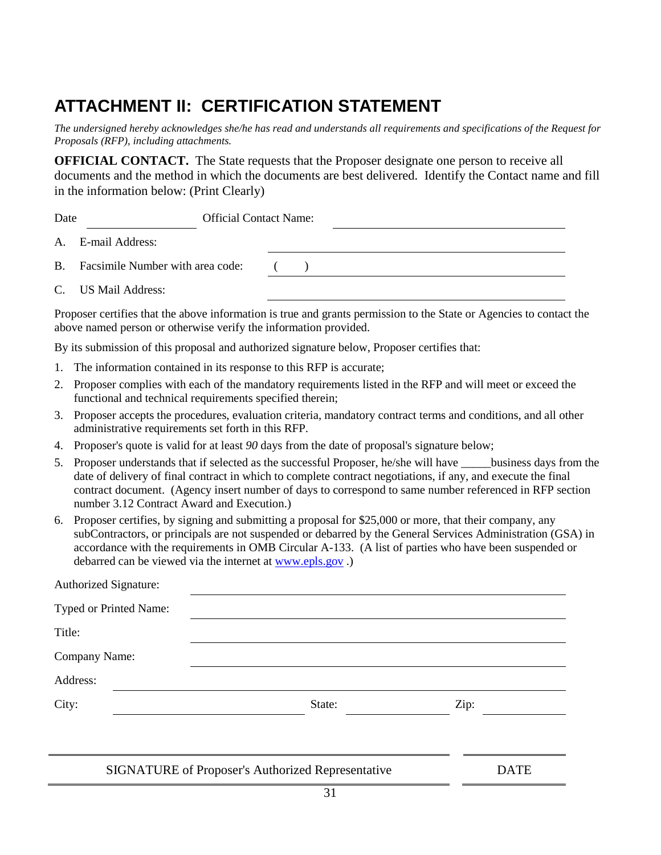# **ATTACHMENT II: CERTIFICATION STATEMENT**

*The undersigned hereby acknowledges she/he has read and understands all requirements and specifications of the Request for Proposals (RFP), including attachments.* 

**OFFICIAL CONTACT.** The State requests that the Proposer designate one person to receive all documents and the method in which the documents are best delivered. Identify the Contact name and fill in the information below: (Print Clearly)

| Date | <b>Official Contact Name:</b>       |  |  |  |
|------|-------------------------------------|--|--|--|
|      | A. E-mail Address:                  |  |  |  |
|      | B. Facsimile Number with area code: |  |  |  |
|      | C. US Mail Address:                 |  |  |  |

Proposer certifies that the above information is true and grants permission to the State or Agencies to contact the above named person or otherwise verify the information provided.

By its submission of this proposal and authorized signature below, Proposer certifies that:

- 1. The information contained in its response to this RFP is accurate;
- 2. Proposer complies with each of the mandatory requirements listed in the RFP and will meet or exceed the functional and technical requirements specified therein;
- 3. Proposer accepts the procedures, evaluation criteria, mandatory contract terms and conditions, and all other administrative requirements set forth in this RFP.
- 4. Proposer's quote is valid for at least *90* days from the date of proposal's signature below;
- 5. Proposer understands that if selected as the successful Proposer, he/she will have *\_\_\_\_\_*business days from the date of delivery of final contract in which to complete contract negotiations, if any, and execute the final contract document. (Agency insert number of days to correspond to same number referenced in RFP section number 3.12 Contract Award and Execution.)
- 6. Proposer certifies, by signing and submitting a proposal for \$25,000 or more, that their company, any subContractors, or principals are not suspended or debarred by the General Services Administration (GSA) in accordance with the requirements in OMB Circular A-133. (A list of parties who have been suspended or debarred can be viewed via the internet at www.epls.gov .)

| <b>Authorized Signature:</b> |        |      |  |
|------------------------------|--------|------|--|
| Typed or Printed Name:       |        |      |  |
| Title:                       |        |      |  |
| Company Name:                |        |      |  |
| Address:                     |        |      |  |
| City:                        | State: | Zip: |  |
|                              |        |      |  |
|                              |        |      |  |

SIGNATURE of Proposer's Authorized Representative DATE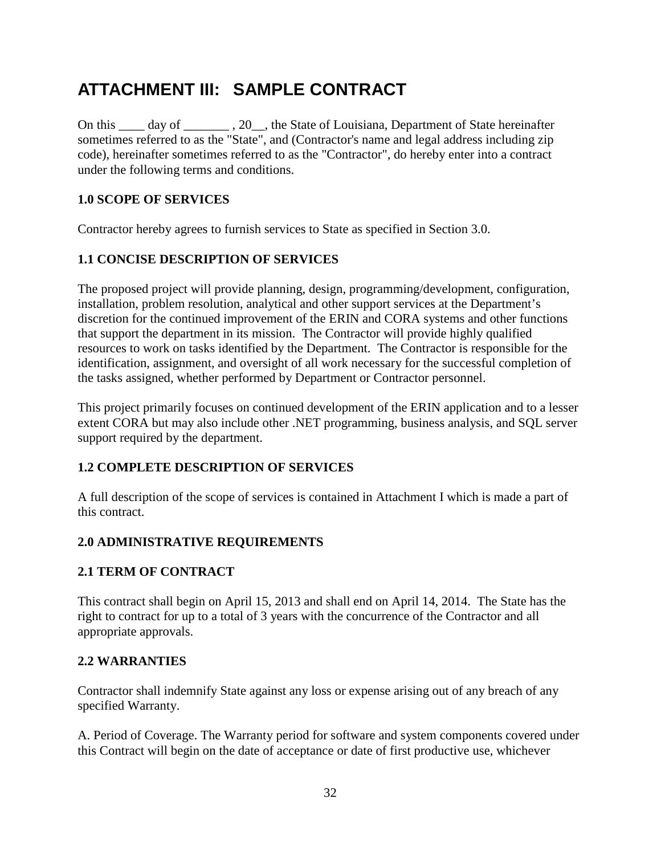# **ATTACHMENT III: SAMPLE CONTRACT**

On this \_\_\_\_ day of \_\_\_\_\_\_\_\_, 20\_\_, the State of Louisiana, Department of State hereinafter sometimes referred to as the "State", and (Contractor's name and legal address including zip code), hereinafter sometimes referred to as the "Contractor", do hereby enter into a contract under the following terms and conditions.

### **1.0 SCOPE OF SERVICES**

Contractor hereby agrees to furnish services to State as specified in Section 3.0.

### **1.1 CONCISE DESCRIPTION OF SERVICES**

The proposed project will provide planning, design, programming/development, configuration, installation, problem resolution, analytical and other support services at the Department's discretion for the continued improvement of the ERIN and CORA systems and other functions that support the department in its mission. The Contractor will provide highly qualified resources to work on tasks identified by the Department. The Contractor is responsible for the identification, assignment, and oversight of all work necessary for the successful completion of the tasks assigned, whether performed by Department or Contractor personnel.

This project primarily focuses on continued development of the ERIN application and to a lesser extent CORA but may also include other .NET programming, business analysis, and SQL server support required by the department.

### **1.2 COMPLETE DESCRIPTION OF SERVICES**

A full description of the scope of services is contained in Attachment I which is made a part of this contract.

### **2.0 ADMINISTRATIVE REQUIREMENTS**

### **2.1 TERM OF CONTRACT**

This contract shall begin on April 15, 2013 and shall end on April 14, 2014. The State has the right to contract for up to a total of 3 years with the concurrence of the Contractor and all appropriate approvals.

#### **2.2 WARRANTIES**

Contractor shall indemnify State against any loss or expense arising out of any breach of any specified Warranty.

A. Period of Coverage. The Warranty period for software and system components covered under this Contract will begin on the date of acceptance or date of first productive use, whichever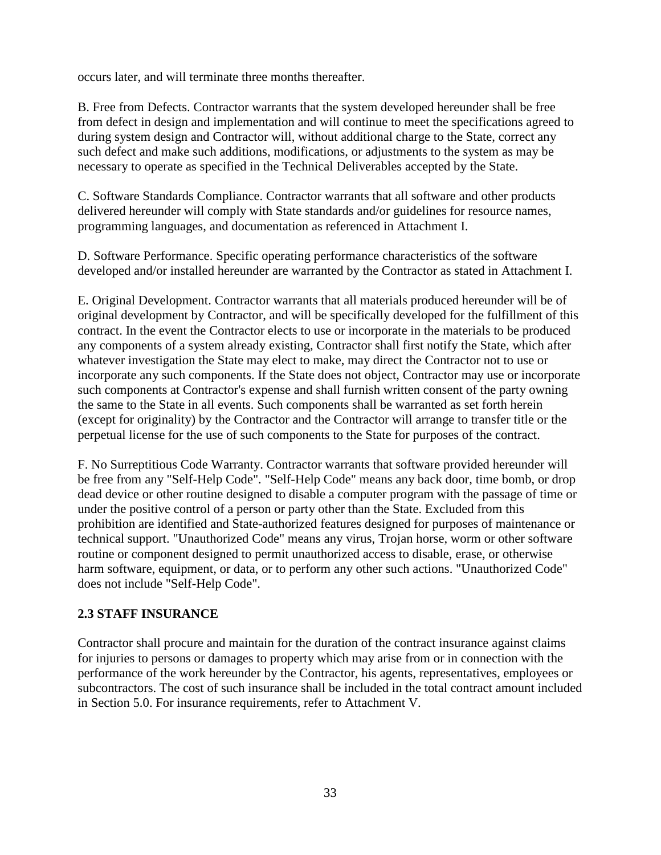occurs later, and will terminate three months thereafter.

B. Free from Defects. Contractor warrants that the system developed hereunder shall be free from defect in design and implementation and will continue to meet the specifications agreed to during system design and Contractor will, without additional charge to the State, correct any such defect and make such additions, modifications, or adjustments to the system as may be necessary to operate as specified in the Technical Deliverables accepted by the State.

C. Software Standards Compliance. Contractor warrants that all software and other products delivered hereunder will comply with State standards and/or guidelines for resource names, programming languages, and documentation as referenced in Attachment I.

D. Software Performance. Specific operating performance characteristics of the software developed and/or installed hereunder are warranted by the Contractor as stated in Attachment I.

E. Original Development. Contractor warrants that all materials produced hereunder will be of original development by Contractor, and will be specifically developed for the fulfillment of this contract. In the event the Contractor elects to use or incorporate in the materials to be produced any components of a system already existing, Contractor shall first notify the State, which after whatever investigation the State may elect to make, may direct the Contractor not to use or incorporate any such components. If the State does not object, Contractor may use or incorporate such components at Contractor's expense and shall furnish written consent of the party owning the same to the State in all events. Such components shall be warranted as set forth herein (except for originality) by the Contractor and the Contractor will arrange to transfer title or the perpetual license for the use of such components to the State for purposes of the contract.

F. No Surreptitious Code Warranty. Contractor warrants that software provided hereunder will be free from any "Self-Help Code". "Self-Help Code" means any back door, time bomb, or drop dead device or other routine designed to disable a computer program with the passage of time or under the positive control of a person or party other than the State. Excluded from this prohibition are identified and State-authorized features designed for purposes of maintenance or technical support. "Unauthorized Code" means any virus, Trojan horse, worm or other software routine or component designed to permit unauthorized access to disable, erase, or otherwise harm software, equipment, or data, or to perform any other such actions. "Unauthorized Code" does not include "Self-Help Code".

### **2.3 STAFF INSURANCE**

Contractor shall procure and maintain for the duration of the contract insurance against claims for injuries to persons or damages to property which may arise from or in connection with the performance of the work hereunder by the Contractor, his agents, representatives, employees or subcontractors. The cost of such insurance shall be included in the total contract amount included in Section 5.0. For insurance requirements, refer to Attachment V.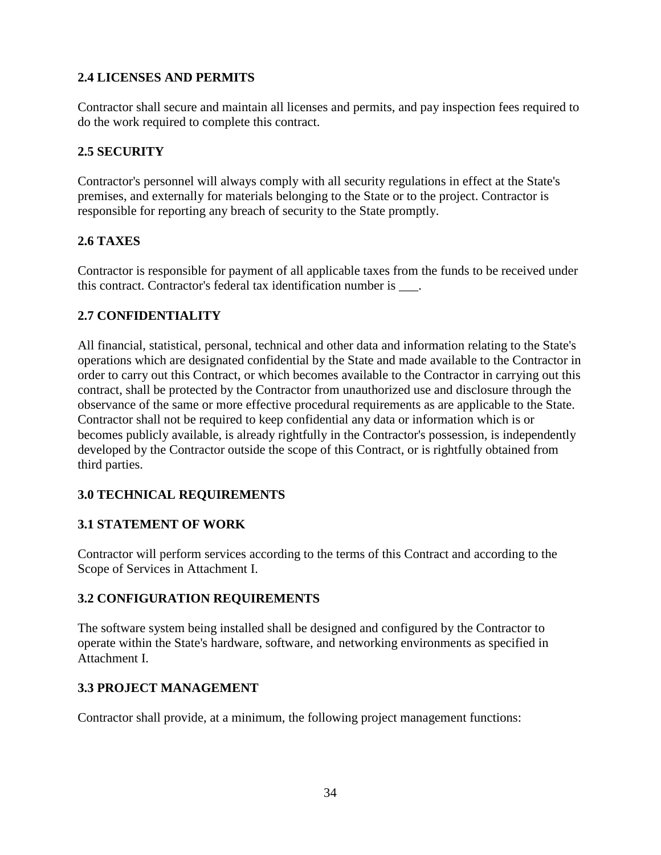## **2.4 LICENSES AND PERMITS**

Contractor shall secure and maintain all licenses and permits, and pay inspection fees required to do the work required to complete this contract.

## **2.5 SECURITY**

Contractor's personnel will always comply with all security regulations in effect at the State's premises, and externally for materials belonging to the State or to the project. Contractor is responsible for reporting any breach of security to the State promptly.

## **2.6 TAXES**

Contractor is responsible for payment of all applicable taxes from the funds to be received under this contract. Contractor's federal tax identification number is  $\qquad$ .

## **2.7 CONFIDENTIALITY**

All financial, statistical, personal, technical and other data and information relating to the State's operations which are designated confidential by the State and made available to the Contractor in order to carry out this Contract, or which becomes available to the Contractor in carrying out this contract, shall be protected by the Contractor from unauthorized use and disclosure through the observance of the same or more effective procedural requirements as are applicable to the State. Contractor shall not be required to keep confidential any data or information which is or becomes publicly available, is already rightfully in the Contractor's possession, is independently developed by the Contractor outside the scope of this Contract, or is rightfully obtained from third parties.

# **3.0 TECHNICAL REQUIREMENTS**

### **3.1 STATEMENT OF WORK**

Contractor will perform services according to the terms of this Contract and according to the Scope of Services in Attachment I.

### **3.2 CONFIGURATION REQUIREMENTS**

The software system being installed shall be designed and configured by the Contractor to operate within the State's hardware, software, and networking environments as specified in Attachment I.

### **3.3 PROJECT MANAGEMENT**

Contractor shall provide, at a minimum, the following project management functions: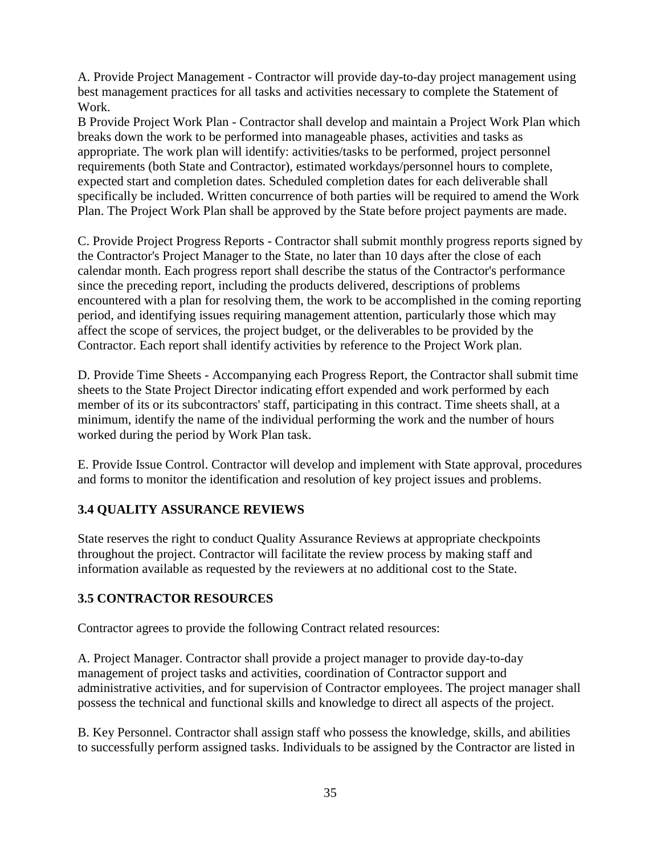A. Provide Project Management - Contractor will provide day-to-day project management using best management practices for all tasks and activities necessary to complete the Statement of Work.

B Provide Project Work Plan - Contractor shall develop and maintain a Project Work Plan which breaks down the work to be performed into manageable phases, activities and tasks as appropriate. The work plan will identify: activities/tasks to be performed, project personnel requirements (both State and Contractor), estimated workdays/personnel hours to complete, expected start and completion dates. Scheduled completion dates for each deliverable shall specifically be included. Written concurrence of both parties will be required to amend the Work Plan. The Project Work Plan shall be approved by the State before project payments are made.

C. Provide Project Progress Reports - Contractor shall submit monthly progress reports signed by the Contractor's Project Manager to the State, no later than 10 days after the close of each calendar month. Each progress report shall describe the status of the Contractor's performance since the preceding report, including the products delivered, descriptions of problems encountered with a plan for resolving them, the work to be accomplished in the coming reporting period, and identifying issues requiring management attention, particularly those which may affect the scope of services, the project budget, or the deliverables to be provided by the Contractor. Each report shall identify activities by reference to the Project Work plan.

D. Provide Time Sheets - Accompanying each Progress Report, the Contractor shall submit time sheets to the State Project Director indicating effort expended and work performed by each member of its or its subcontractors' staff, participating in this contract. Time sheets shall, at a minimum, identify the name of the individual performing the work and the number of hours worked during the period by Work Plan task.

E. Provide Issue Control. Contractor will develop and implement with State approval, procedures and forms to monitor the identification and resolution of key project issues and problems.

# **3.4 QUALITY ASSURANCE REVIEWS**

State reserves the right to conduct Quality Assurance Reviews at appropriate checkpoints throughout the project. Contractor will facilitate the review process by making staff and information available as requested by the reviewers at no additional cost to the State.

# **3.5 CONTRACTOR RESOURCES**

Contractor agrees to provide the following Contract related resources:

A. Project Manager. Contractor shall provide a project manager to provide day-to-day management of project tasks and activities, coordination of Contractor support and administrative activities, and for supervision of Contractor employees. The project manager shall possess the technical and functional skills and knowledge to direct all aspects of the project.

B. Key Personnel. Contractor shall assign staff who possess the knowledge, skills, and abilities to successfully perform assigned tasks. Individuals to be assigned by the Contractor are listed in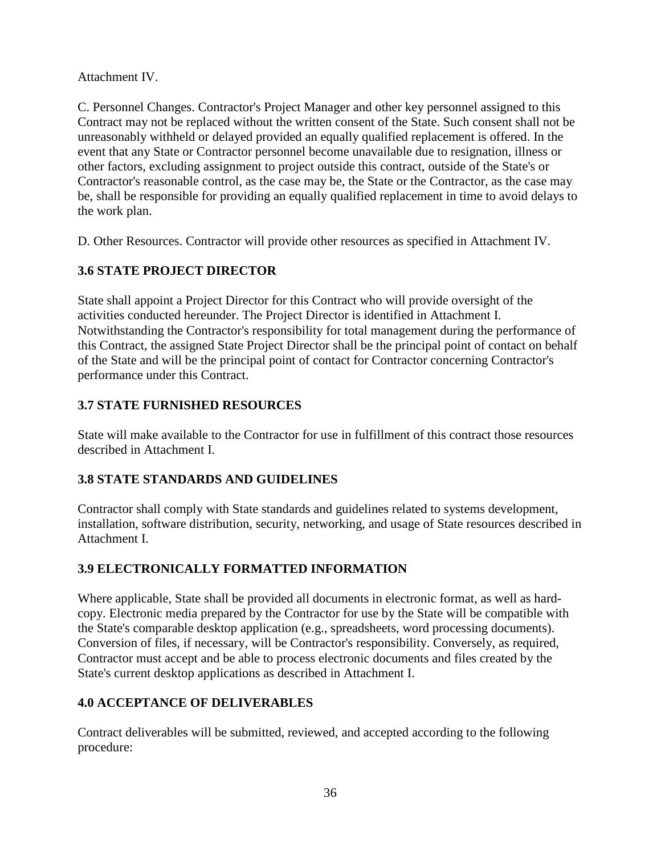Attachment IV.

C. Personnel Changes. Contractor's Project Manager and other key personnel assigned to this Contract may not be replaced without the written consent of the State. Such consent shall not be unreasonably withheld or delayed provided an equally qualified replacement is offered. In the event that any State or Contractor personnel become unavailable due to resignation, illness or other factors, excluding assignment to project outside this contract, outside of the State's or Contractor's reasonable control, as the case may be, the State or the Contractor, as the case may be, shall be responsible for providing an equally qualified replacement in time to avoid delays to the work plan.

D. Other Resources. Contractor will provide other resources as specified in Attachment IV.

# **3.6 STATE PROJECT DIRECTOR**

State shall appoint a Project Director for this Contract who will provide oversight of the activities conducted hereunder. The Project Director is identified in Attachment I. Notwithstanding the Contractor's responsibility for total management during the performance of this Contract, the assigned State Project Director shall be the principal point of contact on behalf of the State and will be the principal point of contact for Contractor concerning Contractor's performance under this Contract.

# **3.7 STATE FURNISHED RESOURCES**

State will make available to the Contractor for use in fulfillment of this contract those resources described in Attachment I.

# **3.8 STATE STANDARDS AND GUIDELINES**

Contractor shall comply with State standards and guidelines related to systems development, installation, software distribution, security, networking, and usage of State resources described in Attachment I.

# **3.9 ELECTRONICALLY FORMATTED INFORMATION**

Where applicable, State shall be provided all documents in electronic format, as well as hardcopy. Electronic media prepared by the Contractor for use by the State will be compatible with the State's comparable desktop application (e.g., spreadsheets, word processing documents). Conversion of files, if necessary, will be Contractor's responsibility. Conversely, as required, Contractor must accept and be able to process electronic documents and files created by the State's current desktop applications as described in Attachment I.

# **4.0 ACCEPTANCE OF DELIVERABLES**

Contract deliverables will be submitted, reviewed, and accepted according to the following procedure: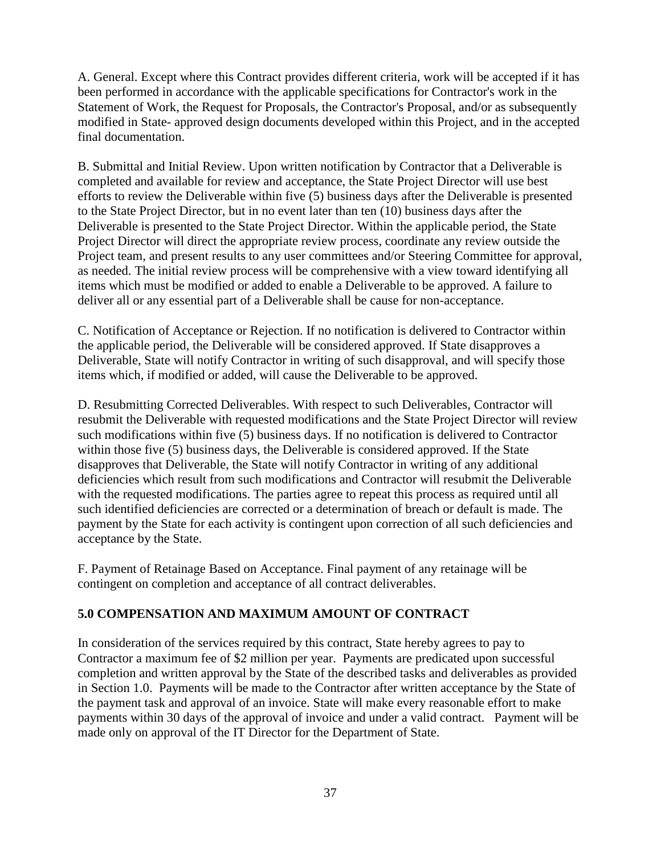A. General. Except where this Contract provides different criteria, work will be accepted if it has been performed in accordance with the applicable specifications for Contractor's work in the Statement of Work, the Request for Proposals, the Contractor's Proposal, and/or as subsequently modified in State- approved design documents developed within this Project, and in the accepted final documentation.

B. Submittal and Initial Review. Upon written notification by Contractor that a Deliverable is completed and available for review and acceptance, the State Project Director will use best efforts to review the Deliverable within five (5) business days after the Deliverable is presented to the State Project Director, but in no event later than ten (10) business days after the Deliverable is presented to the State Project Director. Within the applicable period, the State Project Director will direct the appropriate review process, coordinate any review outside the Project team, and present results to any user committees and/or Steering Committee for approval, as needed. The initial review process will be comprehensive with a view toward identifying all items which must be modified or added to enable a Deliverable to be approved. A failure to deliver all or any essential part of a Deliverable shall be cause for non-acceptance.

C. Notification of Acceptance or Rejection. If no notification is delivered to Contractor within the applicable period, the Deliverable will be considered approved. If State disapproves a Deliverable, State will notify Contractor in writing of such disapproval, and will specify those items which, if modified or added, will cause the Deliverable to be approved.

D. Resubmitting Corrected Deliverables. With respect to such Deliverables, Contractor will resubmit the Deliverable with requested modifications and the State Project Director will review such modifications within five (5) business days. If no notification is delivered to Contractor within those five (5) business days, the Deliverable is considered approved. If the State disapproves that Deliverable, the State will notify Contractor in writing of any additional deficiencies which result from such modifications and Contractor will resubmit the Deliverable with the requested modifications. The parties agree to repeat this process as required until all such identified deficiencies are corrected or a determination of breach or default is made. The payment by the State for each activity is contingent upon correction of all such deficiencies and acceptance by the State.

F. Payment of Retainage Based on Acceptance. Final payment of any retainage will be contingent on completion and acceptance of all contract deliverables.

### **5.0 COMPENSATION AND MAXIMUM AMOUNT OF CONTRACT**

In consideration of the services required by this contract, State hereby agrees to pay to Contractor a maximum fee of \$2 million per year. Payments are predicated upon successful completion and written approval by the State of the described tasks and deliverables as provided in Section 1.0. Payments will be made to the Contractor after written acceptance by the State of the payment task and approval of an invoice. State will make every reasonable effort to make payments within 30 days of the approval of invoice and under a valid contract. Payment will be made only on approval of the IT Director for the Department of State.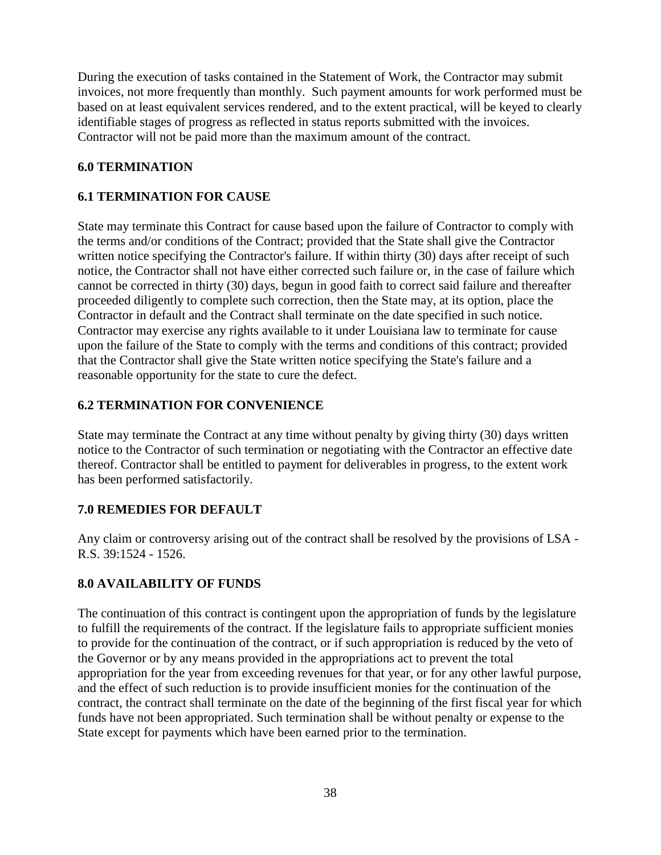During the execution of tasks contained in the Statement of Work, the Contractor may submit invoices, not more frequently than monthly. Such payment amounts for work performed must be based on at least equivalent services rendered, and to the extent practical, will be keyed to clearly identifiable stages of progress as reflected in status reports submitted with the invoices. Contractor will not be paid more than the maximum amount of the contract.

### **6.0 TERMINATION**

## **6.1 TERMINATION FOR CAUSE**

State may terminate this Contract for cause based upon the failure of Contractor to comply with the terms and/or conditions of the Contract; provided that the State shall give the Contractor written notice specifying the Contractor's failure. If within thirty (30) days after receipt of such notice, the Contractor shall not have either corrected such failure or, in the case of failure which cannot be corrected in thirty (30) days, begun in good faith to correct said failure and thereafter proceeded diligently to complete such correction, then the State may, at its option, place the Contractor in default and the Contract shall terminate on the date specified in such notice. Contractor may exercise any rights available to it under Louisiana law to terminate for cause upon the failure of the State to comply with the terms and conditions of this contract; provided that the Contractor shall give the State written notice specifying the State's failure and a reasonable opportunity for the state to cure the defect.

### **6.2 TERMINATION FOR CONVENIENCE**

State may terminate the Contract at any time without penalty by giving thirty (30) days written notice to the Contractor of such termination or negotiating with the Contractor an effective date thereof. Contractor shall be entitled to payment for deliverables in progress, to the extent work has been performed satisfactorily.

### **7.0 REMEDIES FOR DEFAULT**

Any claim or controversy arising out of the contract shall be resolved by the provisions of LSA - R.S. 39:1524 - 1526.

# **8.0 AVAILABILITY OF FUNDS**

The continuation of this contract is contingent upon the appropriation of funds by the legislature to fulfill the requirements of the contract. If the legislature fails to appropriate sufficient monies to provide for the continuation of the contract, or if such appropriation is reduced by the veto of the Governor or by any means provided in the appropriations act to prevent the total appropriation for the year from exceeding revenues for that year, or for any other lawful purpose, and the effect of such reduction is to provide insufficient monies for the continuation of the contract, the contract shall terminate on the date of the beginning of the first fiscal year for which funds have not been appropriated. Such termination shall be without penalty or expense to the State except for payments which have been earned prior to the termination.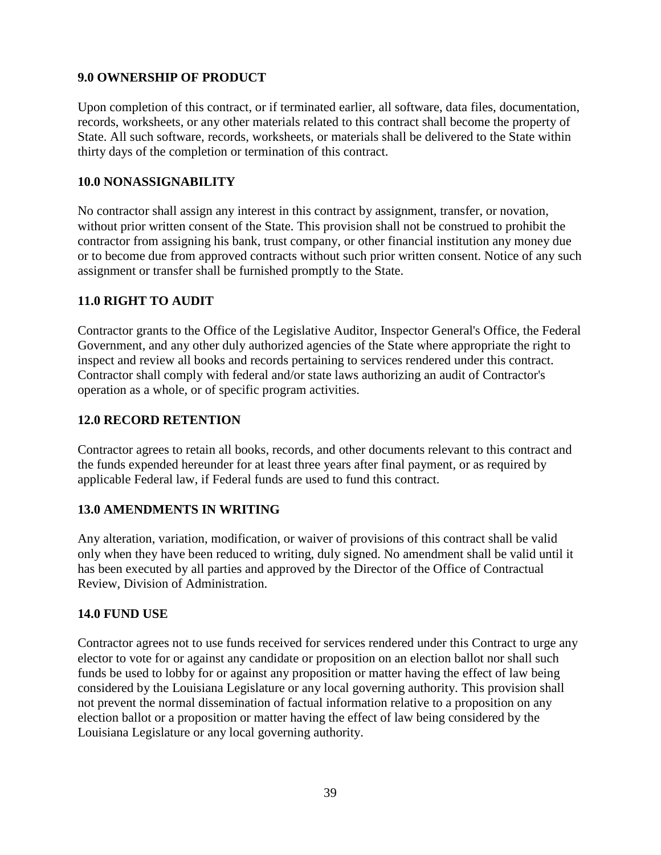### **9.0 OWNERSHIP OF PRODUCT**

Upon completion of this contract, or if terminated earlier, all software, data files, documentation, records, worksheets, or any other materials related to this contract shall become the property of State. All such software, records, worksheets, or materials shall be delivered to the State within thirty days of the completion or termination of this contract.

### **10.0 NONASSIGNABILITY**

No contractor shall assign any interest in this contract by assignment, transfer, or novation, without prior written consent of the State. This provision shall not be construed to prohibit the contractor from assigning his bank, trust company, or other financial institution any money due or to become due from approved contracts without such prior written consent. Notice of any such assignment or transfer shall be furnished promptly to the State.

### **11.0 RIGHT TO AUDIT**

Contractor grants to the Office of the Legislative Auditor, Inspector General's Office, the Federal Government, and any other duly authorized agencies of the State where appropriate the right to inspect and review all books and records pertaining to services rendered under this contract. Contractor shall comply with federal and/or state laws authorizing an audit of Contractor's operation as a whole, or of specific program activities.

### **12.0 RECORD RETENTION**

Contractor agrees to retain all books, records, and other documents relevant to this contract and the funds expended hereunder for at least three years after final payment, or as required by applicable Federal law, if Federal funds are used to fund this contract.

### **13.0 AMENDMENTS IN WRITING**

Any alteration, variation, modification, or waiver of provisions of this contract shall be valid only when they have been reduced to writing, duly signed. No amendment shall be valid until it has been executed by all parties and approved by the Director of the Office of Contractual Review, Division of Administration.

#### **14.0 FUND USE**

Contractor agrees not to use funds received for services rendered under this Contract to urge any elector to vote for or against any candidate or proposition on an election ballot nor shall such funds be used to lobby for or against any proposition or matter having the effect of law being considered by the Louisiana Legislature or any local governing authority. This provision shall not prevent the normal dissemination of factual information relative to a proposition on any election ballot or a proposition or matter having the effect of law being considered by the Louisiana Legislature or any local governing authority.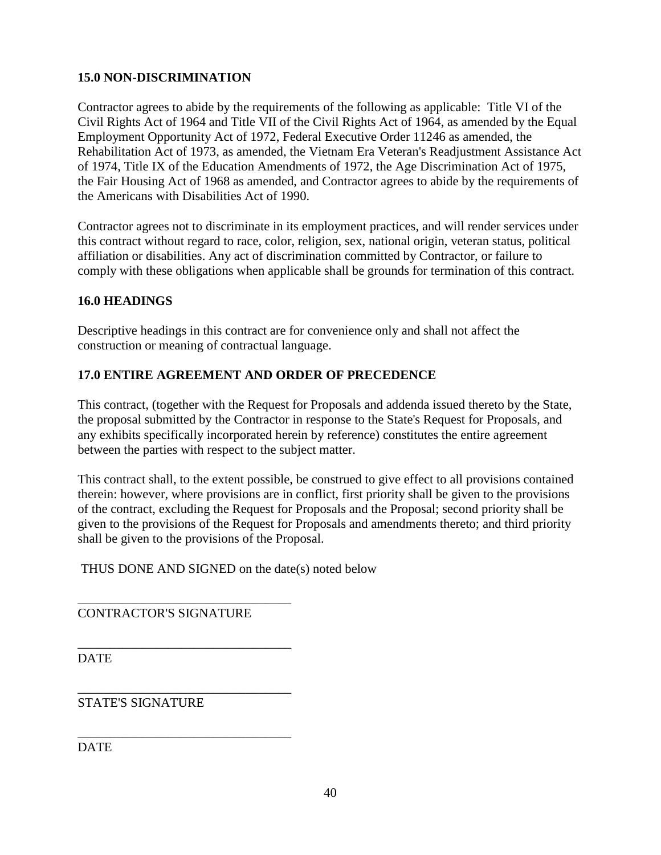# **15.0 NON-DISCRIMINATION**

Contractor agrees to abide by the requirements of the following as applicable: Title VI of the Civil Rights Act of 1964 and Title VII of the Civil Rights Act of 1964, as amended by the Equal Employment Opportunity Act of 1972, Federal Executive Order 11246 as amended, the Rehabilitation Act of 1973, as amended, the Vietnam Era Veteran's Readjustment Assistance Act of 1974, Title IX of the Education Amendments of 1972, the Age Discrimination Act of 1975, the Fair Housing Act of 1968 as amended, and Contractor agrees to abide by the requirements of the Americans with Disabilities Act of 1990.

Contractor agrees not to discriminate in its employment practices, and will render services under this contract without regard to race, color, religion, sex, national origin, veteran status, political affiliation or disabilities. Any act of discrimination committed by Contractor, or failure to comply with these obligations when applicable shall be grounds for termination of this contract.

### **16.0 HEADINGS**

Descriptive headings in this contract are for convenience only and shall not affect the construction or meaning of contractual language.

### **17.0 ENTIRE AGREEMENT AND ORDER OF PRECEDENCE**

This contract, (together with the Request for Proposals and addenda issued thereto by the State, the proposal submitted by the Contractor in response to the State's Request for Proposals, and any exhibits specifically incorporated herein by reference) constitutes the entire agreement between the parties with respect to the subject matter.

This contract shall, to the extent possible, be construed to give effect to all provisions contained therein: however, where provisions are in conflict, first priority shall be given to the provisions of the contract, excluding the Request for Proposals and the Proposal; second priority shall be given to the provisions of the Request for Proposals and amendments thereto; and third priority shall be given to the provisions of the Proposal.

THUS DONE AND SIGNED on the date(s) noted below

CONTRACTOR'S SIGNATURE

\_\_\_\_\_\_\_\_\_\_\_\_\_\_\_\_\_\_\_\_\_\_\_\_\_\_\_\_\_\_\_\_\_

\_\_\_\_\_\_\_\_\_\_\_\_\_\_\_\_\_\_\_\_\_\_\_\_\_\_\_\_\_\_\_\_\_

\_\_\_\_\_\_\_\_\_\_\_\_\_\_\_\_\_\_\_\_\_\_\_\_\_\_\_\_\_\_\_\_\_

**DATE** 

\_\_\_\_\_\_\_\_\_\_\_\_\_\_\_\_\_\_\_\_\_\_\_\_\_\_\_\_\_\_\_\_\_ STATE'S SIGNATURE

**DATE**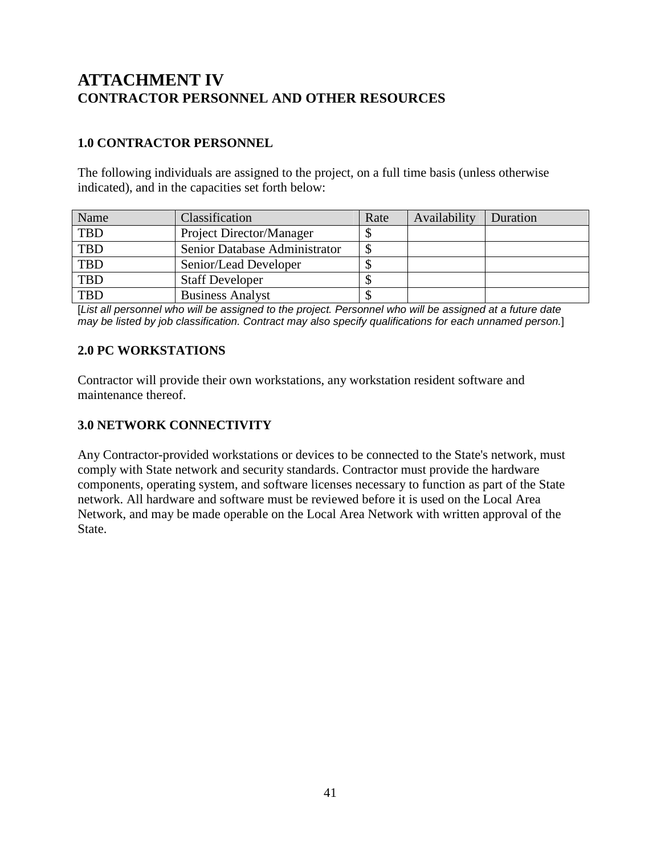# **ATTACHMENT IV CONTRACTOR PERSONNEL AND OTHER RESOURCES**

# **1.0 CONTRACTOR PERSONNEL**

The following individuals are assigned to the project, on a full time basis (unless otherwise indicated), and in the capacities set forth below:

| Name       | Classification                | Rate | Availability | Duration |
|------------|-------------------------------|------|--------------|----------|
| <b>TBD</b> | Project Director/Manager      |      |              |          |
| <b>TBD</b> | Senior Database Administrator |      |              |          |
| <b>TBD</b> | Senior/Lead Developer         |      |              |          |
| TBD        | <b>Staff Developer</b>        |      |              |          |
| TBD        | <b>Business Analyst</b>       |      |              |          |

[List all personnel who will be assigned to the project. Personnel who will be assigned at a future date may be listed by job classification. Contract may also specify qualifications for each unnamed person.]

## **2.0 PC WORKSTATIONS**

Contractor will provide their own workstations, any workstation resident software and maintenance thereof.

### **3.0 NETWORK CONNECTIVITY**

Any Contractor-provided workstations or devices to be connected to the State's network, must comply with State network and security standards. Contractor must provide the hardware components, operating system, and software licenses necessary to function as part of the State network. All hardware and software must be reviewed before it is used on the Local Area Network, and may be made operable on the Local Area Network with written approval of the State.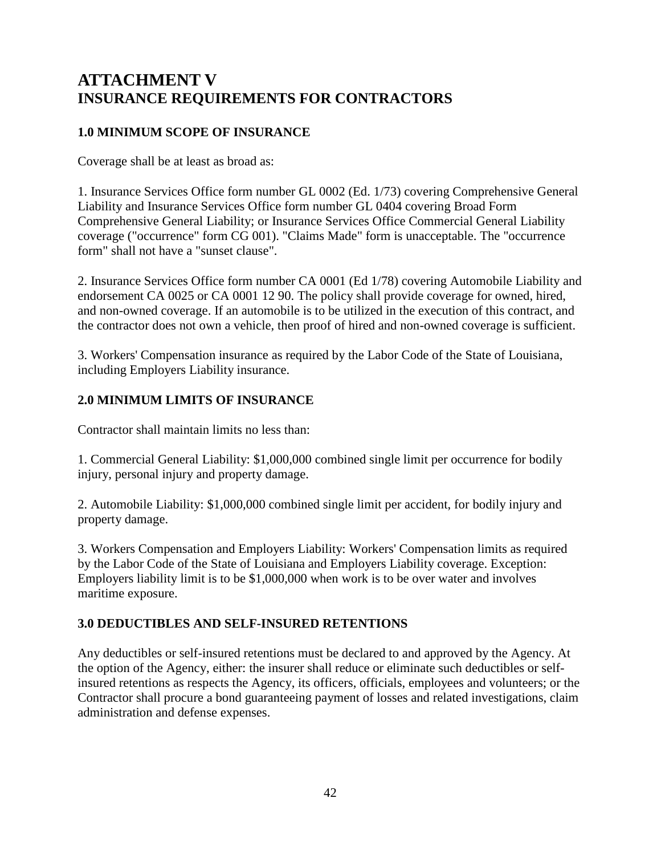# **ATTACHMENT V INSURANCE REQUIREMENTS FOR CONTRACTORS**

## **1.0 MINIMUM SCOPE OF INSURANCE**

Coverage shall be at least as broad as:

1. Insurance Services Office form number GL 0002 (Ed. 1/73) covering Comprehensive General Liability and Insurance Services Office form number GL 0404 covering Broad Form Comprehensive General Liability; or Insurance Services Office Commercial General Liability coverage ("occurrence" form CG 001). "Claims Made" form is unacceptable. The "occurrence form" shall not have a "sunset clause".

2. Insurance Services Office form number CA 0001 (Ed 1/78) covering Automobile Liability and endorsement CA 0025 or CA 0001 12 90. The policy shall provide coverage for owned, hired, and non-owned coverage. If an automobile is to be utilized in the execution of this contract, and the contractor does not own a vehicle, then proof of hired and non-owned coverage is sufficient.

3. Workers' Compensation insurance as required by the Labor Code of the State of Louisiana, including Employers Liability insurance.

## **2.0 MINIMUM LIMITS OF INSURANCE**

Contractor shall maintain limits no less than:

1. Commercial General Liability: \$1,000,000 combined single limit per occurrence for bodily injury, personal injury and property damage.

2. Automobile Liability: \$1,000,000 combined single limit per accident, for bodily injury and property damage.

3. Workers Compensation and Employers Liability: Workers' Compensation limits as required by the Labor Code of the State of Louisiana and Employers Liability coverage. Exception: Employers liability limit is to be \$1,000,000 when work is to be over water and involves maritime exposure.

### **3.0 DEDUCTIBLES AND SELF-INSURED RETENTIONS**

Any deductibles or self-insured retentions must be declared to and approved by the Agency. At the option of the Agency, either: the insurer shall reduce or eliminate such deductibles or selfinsured retentions as respects the Agency, its officers, officials, employees and volunteers; or the Contractor shall procure a bond guaranteeing payment of losses and related investigations, claim administration and defense expenses.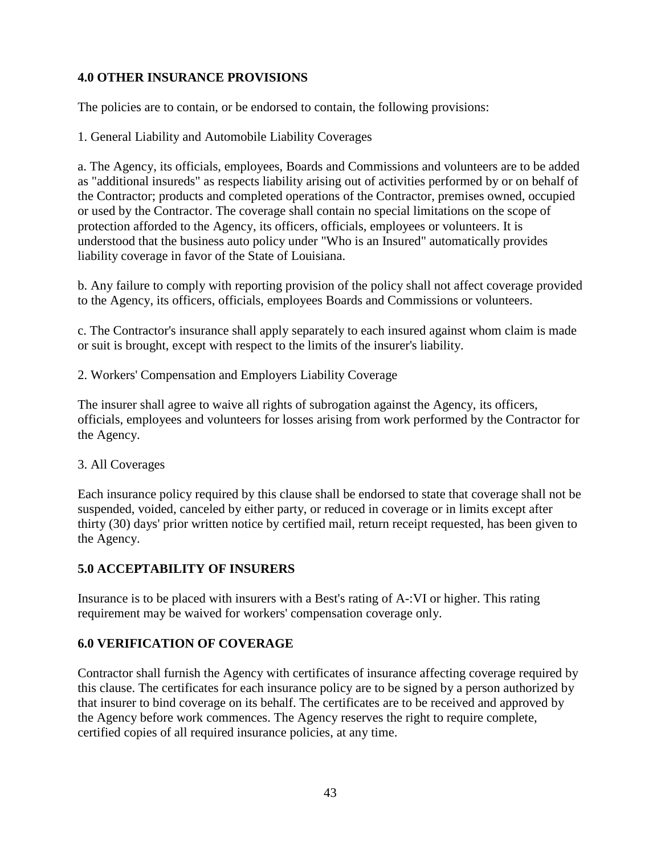# **4.0 OTHER INSURANCE PROVISIONS**

The policies are to contain, or be endorsed to contain, the following provisions:

1. General Liability and Automobile Liability Coverages

a. The Agency, its officials, employees, Boards and Commissions and volunteers are to be added as "additional insureds" as respects liability arising out of activities performed by or on behalf of the Contractor; products and completed operations of the Contractor, premises owned, occupied or used by the Contractor. The coverage shall contain no special limitations on the scope of protection afforded to the Agency, its officers, officials, employees or volunteers. It is understood that the business auto policy under "Who is an Insured" automatically provides liability coverage in favor of the State of Louisiana.

b. Any failure to comply with reporting provision of the policy shall not affect coverage provided to the Agency, its officers, officials, employees Boards and Commissions or volunteers.

c. The Contractor's insurance shall apply separately to each insured against whom claim is made or suit is brought, except with respect to the limits of the insurer's liability.

2. Workers' Compensation and Employers Liability Coverage

The insurer shall agree to waive all rights of subrogation against the Agency, its officers, officials, employees and volunteers for losses arising from work performed by the Contractor for the Agency.

#### 3. All Coverages

Each insurance policy required by this clause shall be endorsed to state that coverage shall not be suspended, voided, canceled by either party, or reduced in coverage or in limits except after thirty (30) days' prior written notice by certified mail, return receipt requested, has been given to the Agency.

### **5.0 ACCEPTABILITY OF INSURERS**

Insurance is to be placed with insurers with a Best's rating of A-:VI or higher. This rating requirement may be waived for workers' compensation coverage only.

### **6.0 VERIFICATION OF COVERAGE**

Contractor shall furnish the Agency with certificates of insurance affecting coverage required by this clause. The certificates for each insurance policy are to be signed by a person authorized by that insurer to bind coverage on its behalf. The certificates are to be received and approved by the Agency before work commences. The Agency reserves the right to require complete, certified copies of all required insurance policies, at any time.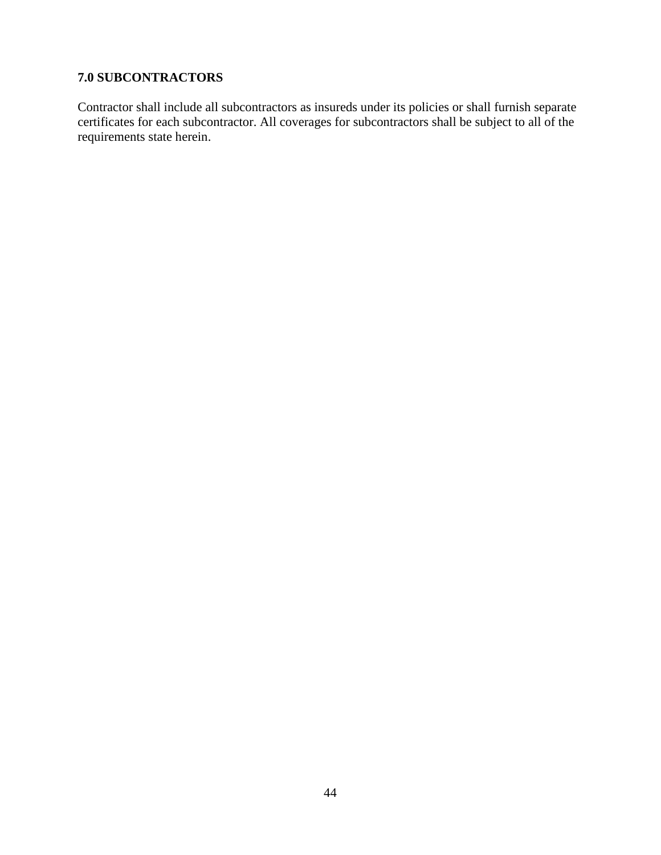# **7.0 SUBCONTRACTORS**

Contractor shall include all subcontractors as insureds under its policies or shall furnish separate certificates for each subcontractor. All coverages for subcontractors shall be subject to all of the requirements state herein.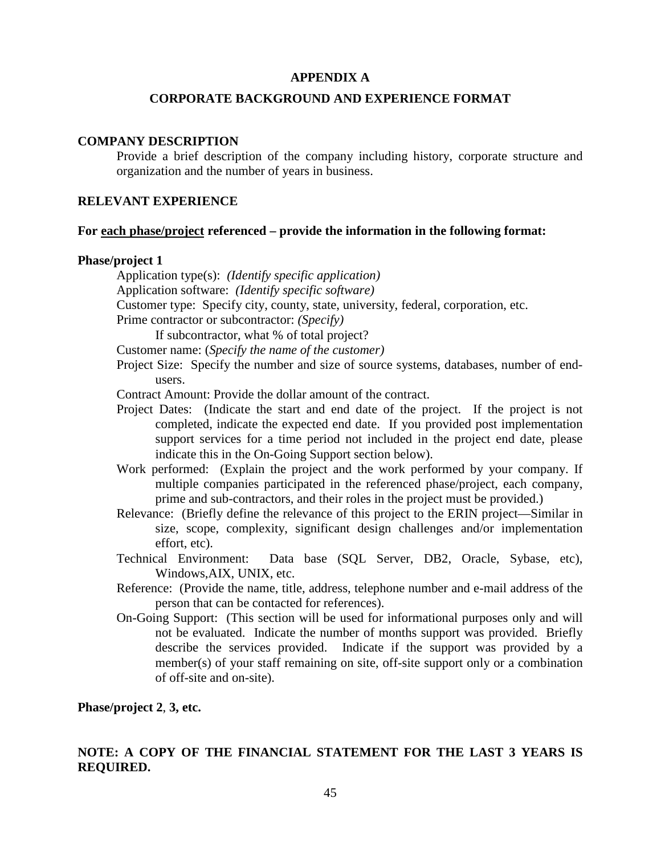#### **APPENDIX A**

#### **CORPORATE BACKGROUND AND EXPERIENCE FORMAT**

#### **COMPANY DESCRIPTION**

Provide a brief description of the company including history, corporate structure and organization and the number of years in business.

#### **RELEVANT EXPERIENCE**

#### **For each phase/project referenced – provide the information in the following format:**

#### **Phase/project 1**

Application type(s): *(Identify specific application)* Application software: *(Identify specific software)* Customer type: Specify city, county, state, university, federal, corporation, etc. Prime contractor or subcontractor: *(Specify)* If subcontractor, what % of total project? Customer name: (*Specify the name of the customer)* Project Size: Specify the number and size of source systems, databases, number of endusers. Contract Amount: Provide the dollar amount of the contract. Project Dates: (Indicate the start and end date of the project. If the project is not completed, indicate the expected end date. If you provided post implementation support services for a time period not included in the project end date, please indicate this in the On-Going Support section below).

- Work performed: (Explain the project and the work performed by your company. If multiple companies participated in the referenced phase/project, each company, prime and sub-contractors, and their roles in the project must be provided.)
- Relevance: (Briefly define the relevance of this project to the ERIN project—Similar in size, scope, complexity, significant design challenges and/or implementation effort, etc).
- Technical Environment: Data base (SQL Server, DB2, Oracle, Sybase, etc), Windows,AIX, UNIX, etc.
- Reference: (Provide the name, title, address, telephone number and e-mail address of the person that can be contacted for references).
- On-Going Support: (This section will be used for informational purposes only and will not be evaluated. Indicate the number of months support was provided. Briefly describe the services provided. Indicate if the support was provided by a member(s) of your staff remaining on site, off-site support only or a combination of off-site and on-site).

**Phase/project 2**, **3, etc.** 

### **NOTE: A COPY OF THE FINANCIAL STATEMENT FOR THE LAST 3 YEARS IS REQUIRED.**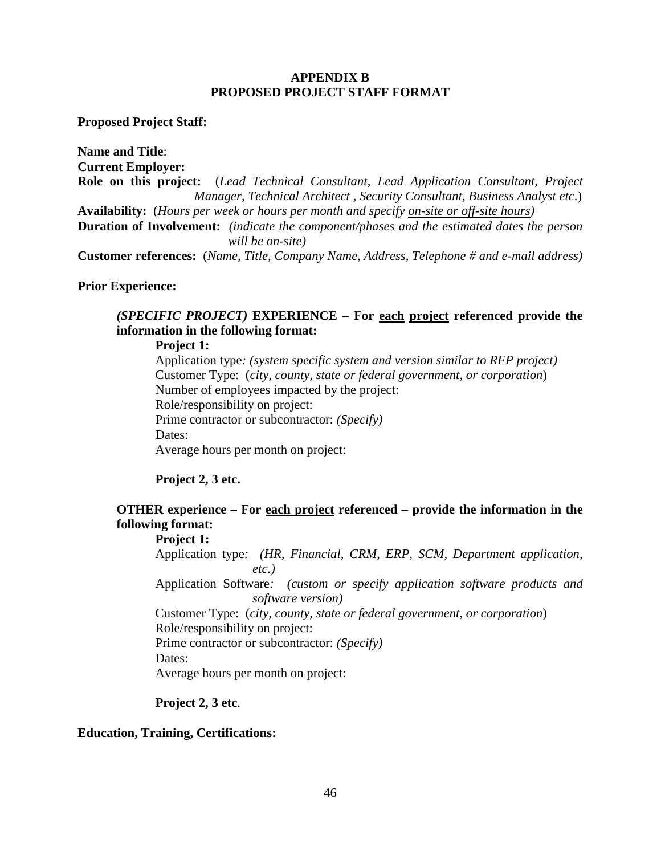#### **APPENDIX B PROPOSED PROJECT STAFF FORMAT**

**Proposed Project Staff:** 

**Name and Title**: **Current Employer: Role on this project:** (*Lead Technical Consultant, Lead Application Consultant, Project Manager, Technical Architect , Security Consultant, Business Analyst etc*.) **Availability:** (*Hours per week or hours per month and specify on-site or off-site hours)* **Duration of Involvement:** *(indicate the component/phases and the estimated dates the person will be on-site)* **Customer references:** (*Name, Title, Company Name, Address, Telephone # and e-mail address)*

**Prior Experience:** 

### *(SPECIFIC PROJECT)* **EXPERIENCE – For each project referenced provide the information in the following format:**

#### **Project 1:**

Application type*: (system specific system and version similar to RFP project)*  Customer Type: (*city*, *county, state or federal government, or corporation*) Number of employees impacted by the project: Role/responsibility on project: Prime contractor or subcontractor: *(Specify)* Dates: Average hours per month on project:

#### **Project 2, 3 etc.**

# **OTHER experience – For each project referenced – provide the information in the following format:**

#### **Project 1:**

Application type*: (HR, Financial, CRM, ERP, SCM, Department application, etc.)* 

Application Software*: (custom or specify application software products and software version)* 

Customer Type: (*city, county, state or federal government, or corporation*) Role/responsibility on project:

Prime contractor or subcontractor: *(Specify)*

Dates:

Average hours per month on project:

#### **Project 2, 3 etc**.

#### **Education, Training, Certifications:**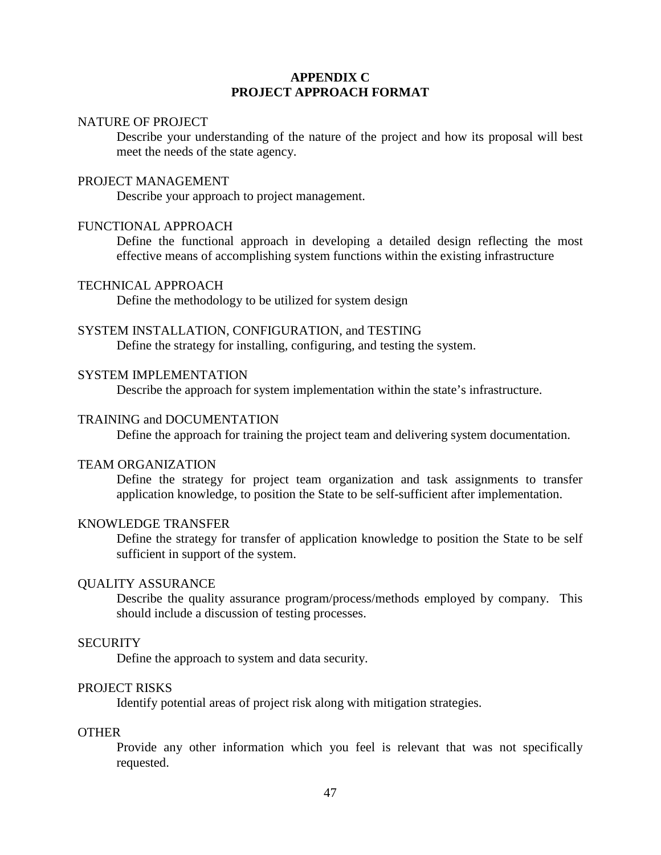#### **APPENDIX C PROJECT APPROACH FORMAT**

#### NATURE OF PROJECT

Describe your understanding of the nature of the project and how its proposal will best meet the needs of the state agency.

#### PROJECT MANAGEMENT

Describe your approach to project management.

#### FUNCTIONAL APPROACH

Define the functional approach in developing a detailed design reflecting the most effective means of accomplishing system functions within the existing infrastructure

#### TECHNICAL APPROACH

Define the methodology to be utilized for system design

#### SYSTEM INSTALLATION, CONFIGURATION, and TESTING

Define the strategy for installing, configuring, and testing the system.

#### SYSTEM IMPLEMENTATION

Describe the approach for system implementation within the state's infrastructure.

#### TRAINING and DOCUMENTATION

Define the approach for training the project team and delivering system documentation.

#### TEAM ORGANIZATION

Define the strategy for project team organization and task assignments to transfer application knowledge, to position the State to be self-sufficient after implementation.

#### KNOWLEDGE TRANSFER

Define the strategy for transfer of application knowledge to position the State to be self sufficient in support of the system.

#### QUALITY ASSURANCE

Describe the quality assurance program/process/methods employed by company. This should include a discussion of testing processes.

#### **SECURITY**

Define the approach to system and data security.

#### PROJECT RISKS

Identify potential areas of project risk along with mitigation strategies.

#### **OTHER**

Provide any other information which you feel is relevant that was not specifically requested.